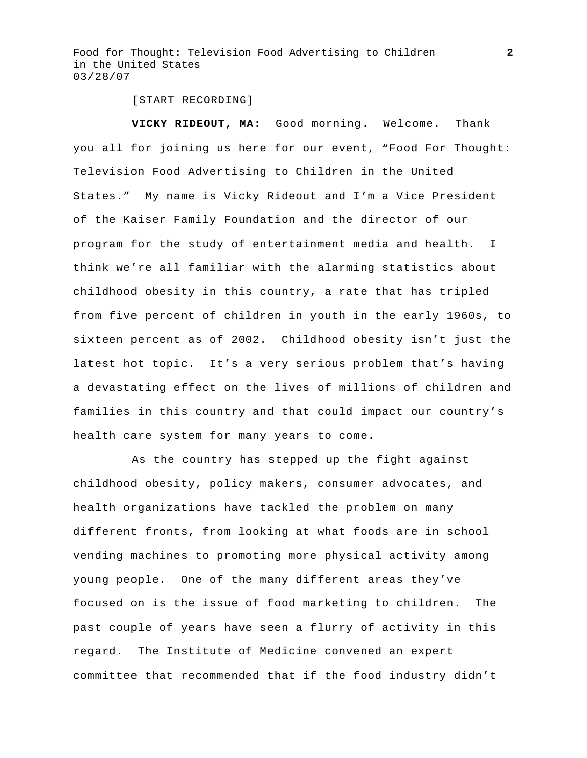[START RECORDING]

 **VICKY RIDEOUT, MA**: Good morning. Welcome. Thank you all for joining us here for our event, "Food For Thought: Television Food Advertising to Children in the United States." My name is Vicky Rideout and I'm a Vice President of the Kaiser Family Foundation and the director of our program for the study of entertainment media and health. I think we're all familiar with the alarming statistics about childhood obesity in this country, a rate that has tripled from five percent of children in youth in the early 1960s, to sixteen percent as of 2002. Childhood obesity isn't just the latest hot topic. It's a very serious problem that's having a devastating effect on the lives of millions of children and families in this country and that could impact our country's health care system for many years to come.

 As the country has stepped up the fight against childhood obesity, policy makers, consumer advocates, and health organizations have tackled the problem on many different fronts, from looking at what foods are in school vending machines to promoting more physical activity among young people. One of the many different areas they've focused on is the issue of food marketing to children. The past couple of years have seen a flurry of activity in this regard. The Institute of Medicine convened an expert committee that recommended that if the food industry didn't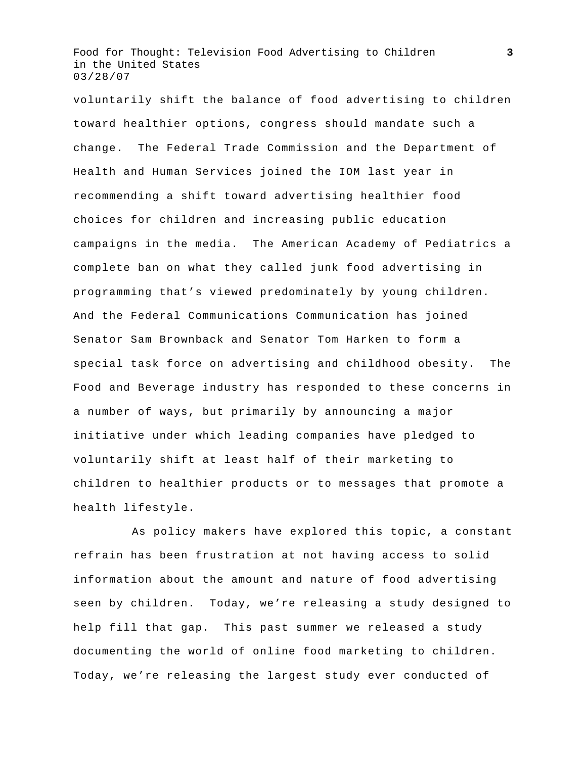voluntarily shift the balance of food advertising to children toward healthier options, congress should mandate such a change. The Federal Trade Commission and the Department of Health and Human Services joined the IOM last year in recommending a shift toward advertising healthier food choices for children and increasing public education campaigns in the media. The American Academy of Pediatrics a complete ban on what they called junk food advertising in programming that's viewed predominately by young children. And the Federal Communications Communication has joined Senator Sam Brownback and Senator Tom Harken to form a special task force on advertising and childhood obesity. The Food and Beverage industry has responded to these concerns in a number of ways, but primarily by announcing a major initiative under which leading companies have pledged to voluntarily shift at least half of their marketing to children to healthier products or to messages that promote a health lifestyle.

 As policy makers have explored this topic, a constant refrain has been frustration at not having access to solid information about the amount and nature of food advertising seen by children. Today, we're releasing a study designed to help fill that gap. This past summer we released a study documenting the world of online food marketing to children. Today, we're releasing the largest study ever conducted of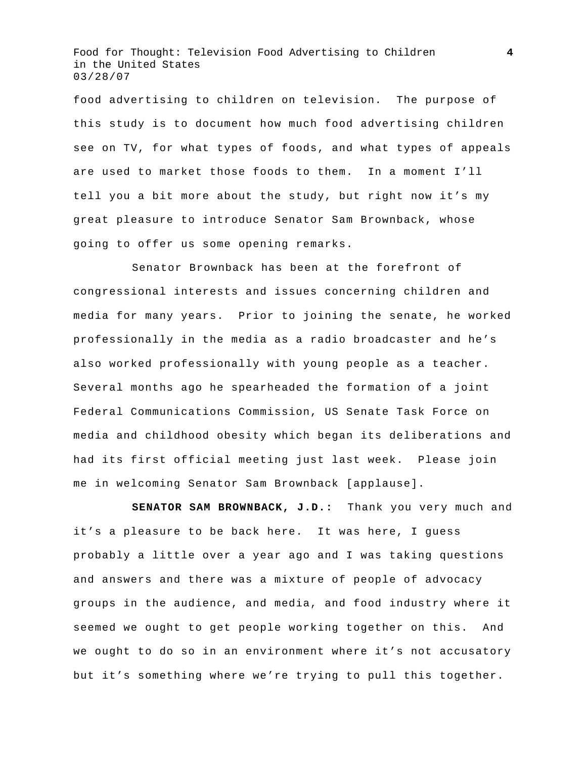food advertising to children on television. The purpose of this study is to document how much food advertising children see on TV, for what types of foods, and what types of appeals are used to market those foods to them. In a moment I'll tell you a bit more about the study, but right now it's my great pleasure to introduce Senator Sam Brownback, whose going to offer us some opening remarks.

 Senator Brownback has been at the forefront of congressional interests and issues concerning children and media for many years. Prior to joining the senate, he worked professionally in the media as a radio broadcaster and he's also worked professionally with young people as a teacher. Several months ago he spearheaded the formation of a joint Federal Communications Commission, US Senate Task Force on media and childhood obesity which began its deliberations and had its first official meeting just last week. Please join me in welcoming Senator Sam Brownback [applause].

**SENATOR SAM BROWNBACK, J.D.:** Thank you very much and it's a pleasure to be back here. It was here, I guess probably a little over a year ago and I was taking questions and answers and there was a mixture of people of advocacy groups in the audience, and media, and food industry where it seemed we ought to get people working together on this. And we ought to do so in an environment where it's not accusatory but it's something where we're trying to pull this together.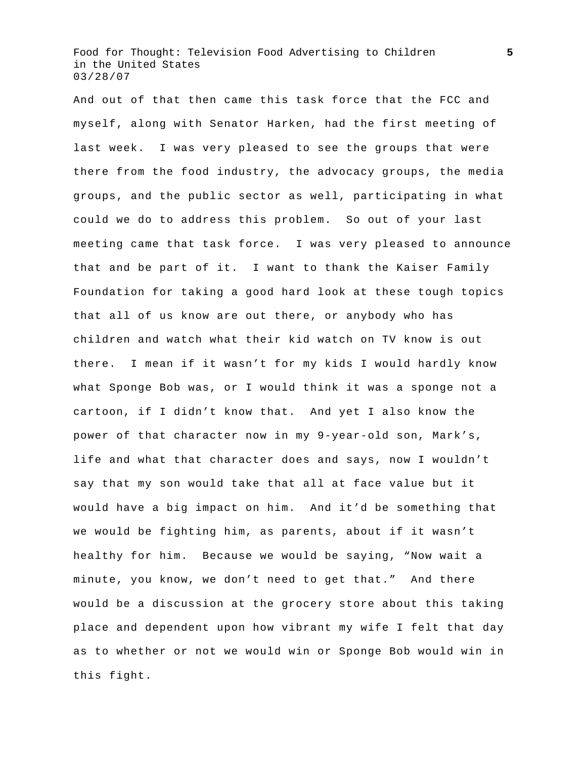And out of that then came this task force that the FCC and myself, along with Senator Harken, had the first meeting of last week. I was very pleased to see the groups that were there from the food industry, the advocacy groups, the media groups, and the public sector as well, participating in what could we do to address this problem. So out of your last meeting came that task force. I was very pleased to announce that and be part of it. I want to thank the Kaiser Family Foundation for taking a good hard look at these tough topics that all of us know are out there, or anybody who has children and watch what their kid watch on TV know is out there. I mean if it wasn't for my kids I would hardly know what Sponge Bob was, or I would think it was a sponge not a cartoon, if I didn't know that. And yet I also know the power of that character now in my 9-year-old son, Mark's, life and what that character does and says, now I wouldn't say that my son would take that all at face value but it would have a big impact on him. And it'd be something that we would be fighting him, as parents, about if it wasn't healthy for him. Because we would be saying, "Now wait a minute, you know, we don't need to get that." And there would be a discussion at the grocery store about this taking place and dependent upon how vibrant my wife I felt that day as to whether or not we would win or Sponge Bob would win in this fight.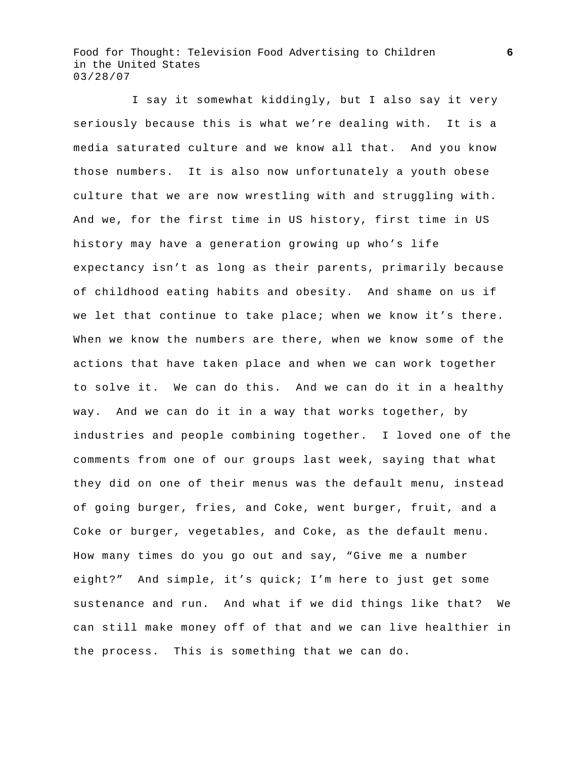I say it somewhat kiddingly, but I also say it very seriously because this is what we're dealing with. It is a media saturated culture and we know all that. And you know those numbers. It is also now unfortunately a youth obese culture that we are now wrestling with and struggling with. And we, for the first time in US history, first time in US history may have a generation growing up who's life expectancy isn't as long as their parents, primarily because of childhood eating habits and obesity. And shame on us if we let that continue to take place; when we know it's there. When we know the numbers are there, when we know some of the actions that have taken place and when we can work together to solve it. We can do this. And we can do it in a healthy way. And we can do it in a way that works together, by industries and people combining together. I loved one of the comments from one of our groups last week, saying that what they did on one of their menus was the default menu, instead of going burger, fries, and Coke, went burger, fruit, and a Coke or burger, vegetables, and Coke, as the default menu. How many times do you go out and say, "Give me a number eight?" And simple, it's quick; I'm here to just get some sustenance and run. And what if we did things like that? We can still make money off of that and we can live healthier in the process. This is something that we can do.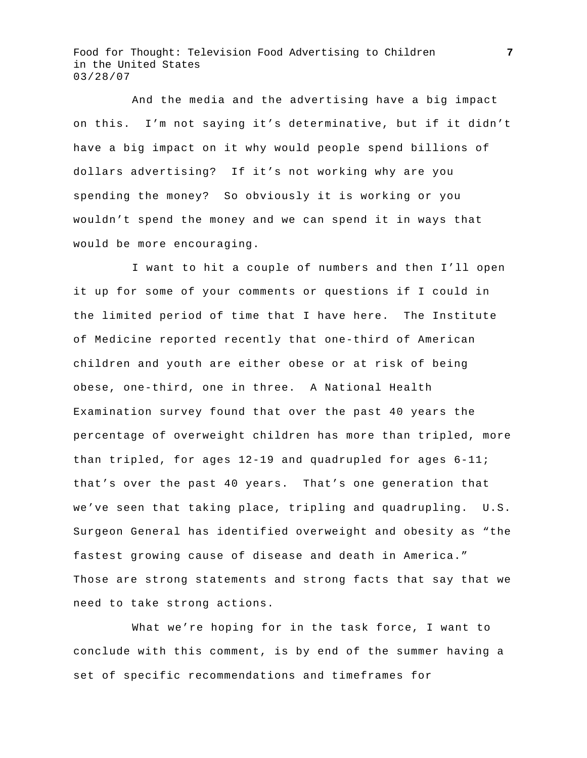And the media and the advertising have a big impact on this. I'm not saying it's determinative, but if it didn't have a big impact on it why would people spend billions of dollars advertising? If it's not working why are you spending the money? So obviously it is working or you wouldn't spend the money and we can spend it in ways that would be more encouraging.

 I want to hit a couple of numbers and then I'll open it up for some of your comments or questions if I could in the limited period of time that I have here. The Institute of Medicine reported recently that one-third of American children and youth are either obese or at risk of being obese, one-third, one in three. A National Health Examination survey found that over the past 40 years the percentage of overweight children has more than tripled, more than tripled, for ages 12-19 and quadrupled for ages 6-11; that's over the past 40 years. That's one generation that we've seen that taking place, tripling and quadrupling. U.S. Surgeon General has identified overweight and obesity as "the fastest growing cause of disease and death in America." Those are strong statements and strong facts that say that we need to take strong actions.

 What we're hoping for in the task force, I want to conclude with this comment, is by end of the summer having a set of specific recommendations and timeframes for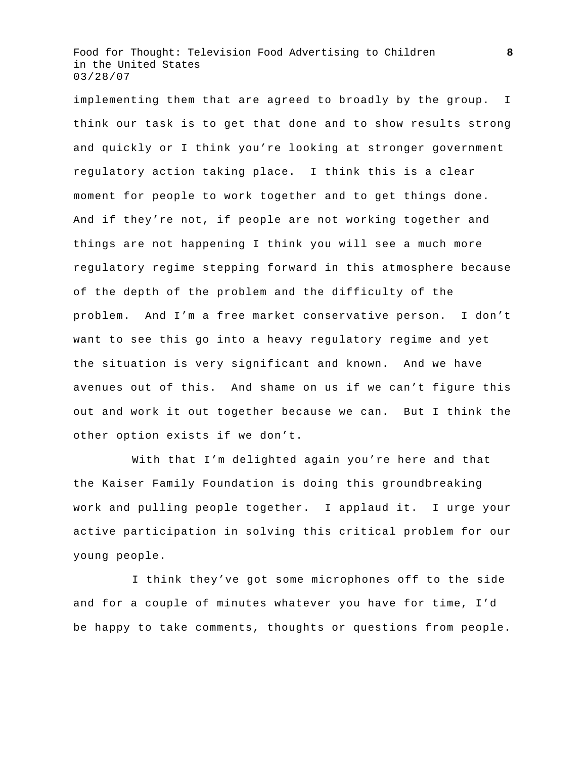implementing them that are agreed to broadly by the group. I think our task is to get that done and to show results strong and quickly or I think you're looking at stronger government regulatory action taking place. I think this is a clear moment for people to work together and to get things done. And if they're not, if people are not working together and things are not happening I think you will see a much more regulatory regime stepping forward in this atmosphere because of the depth of the problem and the difficulty of the problem. And I'm a free market conservative person. I don't want to see this go into a heavy regulatory regime and yet the situation is very significant and known. And we have avenues out of this. And shame on us if we can't figure this out and work it out together because we can. But I think the other option exists if we don't.

 With that I'm delighted again you're here and that the Kaiser Family Foundation is doing this groundbreaking work and pulling people together. I applaud it. I urge your active participation in solving this critical problem for our young people.

 I think they've got some microphones off to the side and for a couple of minutes whatever you have for time, I'd be happy to take comments, thoughts or questions from people.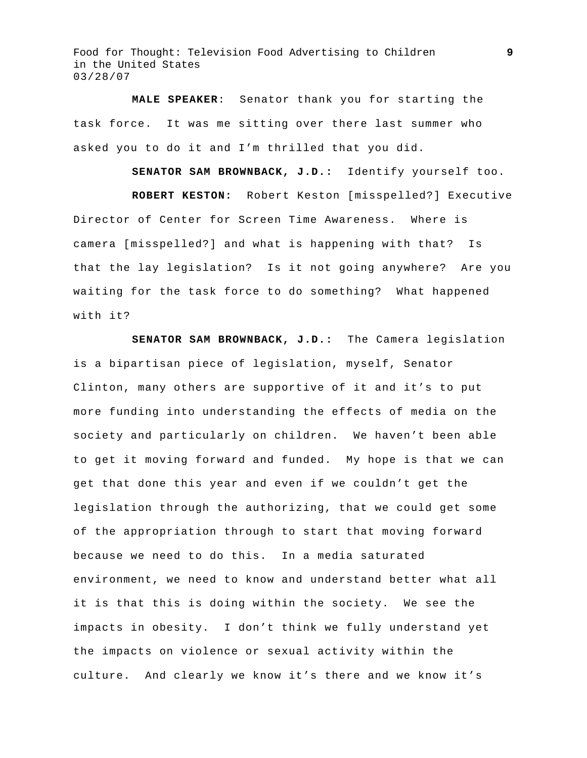**MALE SPEAKER**: Senator thank you for starting the task force. It was me sitting over there last summer who asked you to do it and I'm thrilled that you did.

**SENATOR SAM BROWNBACK, J.D.:** Identify yourself too.

**ROBERT KESTON:** Robert Keston [misspelled?] Executive Director of Center for Screen Time Awareness. Where is camera [misspelled?] and what is happening with that? Is that the lay legislation? Is it not going anywhere? Are you waiting for the task force to do something? What happened with it?

**SENATOR SAM BROWNBACK, J.D.:** The Camera legislation is a bipartisan piece of legislation, myself, Senator Clinton, many others are supportive of it and it's to put more funding into understanding the effects of media on the society and particularly on children. We haven't been able to get it moving forward and funded. My hope is that we can get that done this year and even if we couldn't get the legislation through the authorizing, that we could get some of the appropriation through to start that moving forward because we need to do this. In a media saturated environment, we need to know and understand better what all it is that this is doing within the society. We see the impacts in obesity. I don't think we fully understand yet the impacts on violence or sexual activity within the culture. And clearly we know it's there and we know it's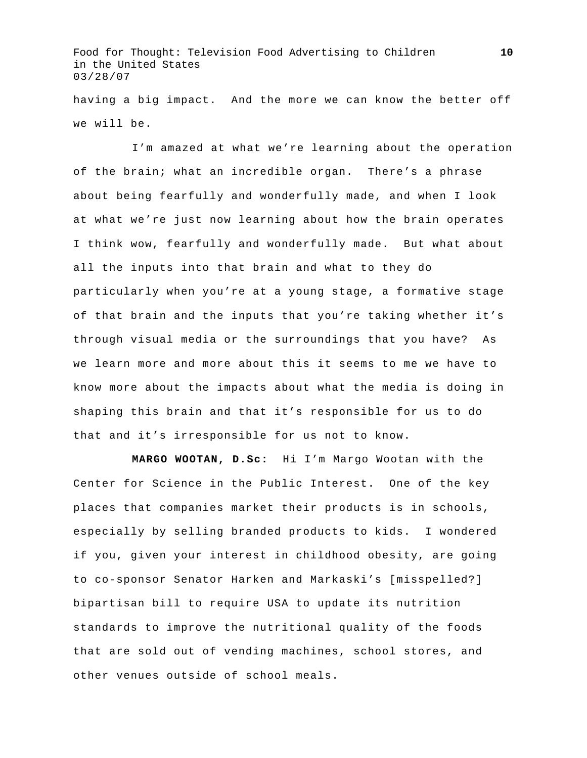having a big impact. And the more we can know the better off we will be.

 I'm amazed at what we're learning about the operation of the brain; what an incredible organ. There's a phrase about being fearfully and wonderfully made, and when I look at what we're just now learning about how the brain operates I think wow, fearfully and wonderfully made. But what about all the inputs into that brain and what to they do particularly when you're at a young stage, a formative stage of that brain and the inputs that you're taking whether it's through visual media or the surroundings that you have? As we learn more and more about this it seems to me we have to know more about the impacts about what the media is doing in shaping this brain and that it's responsible for us to do that and it's irresponsible for us not to know.

**MARGO WOOTAN, D.Sc:** Hi I'm Margo Wootan with the Center for Science in the Public Interest. One of the key places that companies market their products is in schools, especially by selling branded products to kids. I wondered if you, given your interest in childhood obesity, are going to co-sponsor Senator Harken and Markaski's [misspelled?] bipartisan bill to require USA to update its nutrition standards to improve the nutritional quality of the foods that are sold out of vending machines, school stores, and other venues outside of school meals.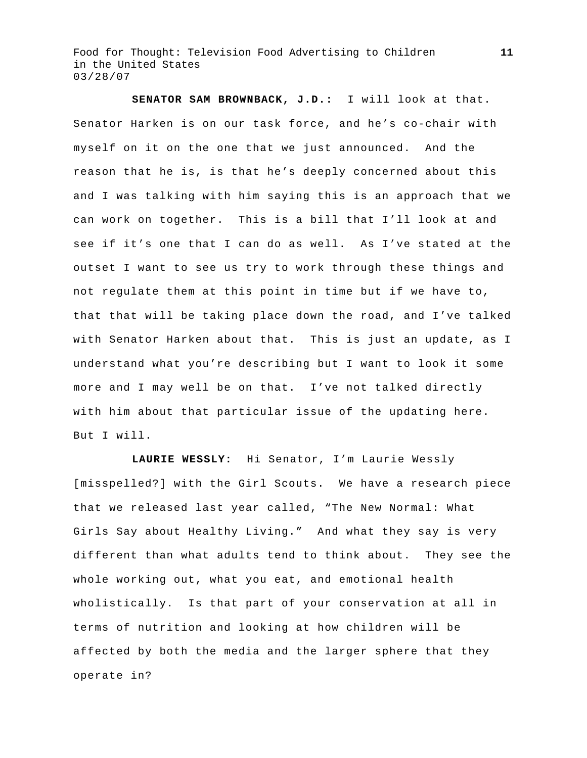**SENATOR SAM BROWNBACK, J.D.:** I will look at that. Senator Harken is on our task force, and he's co-chair with myself on it on the one that we just announced. And the reason that he is, is that he's deeply concerned about this and I was talking with him saying this is an approach that we can work on together. This is a bill that I'll look at and see if it's one that I can do as well. As I've stated at the outset I want to see us try to work through these things and not regulate them at this point in time but if we have to, that that will be taking place down the road, and I've talked with Senator Harken about that. This is just an update, as I understand what you're describing but I want to look it some more and I may well be on that. I've not talked directly with him about that particular issue of the updating here. But I will.

**LAURIE WESSLY:** Hi Senator, I'm Laurie Wessly [misspelled?] with the Girl Scouts. We have a research piece that we released last year called, "The New Normal: What Girls Say about Healthy Living." And what they say is very different than what adults tend to think about. They see the whole working out, what you eat, and emotional health wholistically. Is that part of your conservation at all in terms of nutrition and looking at how children will be affected by both the media and the larger sphere that they operate in?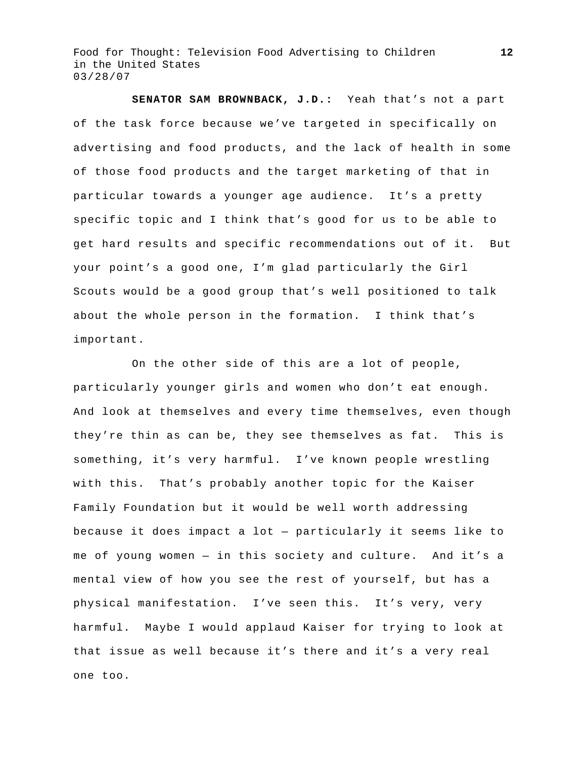**SENATOR SAM BROWNBACK, J.D.:** Yeah that's not a part of the task force because we've targeted in specifically on advertising and food products, and the lack of health in some of those food products and the target marketing of that in particular towards a younger age audience. It's a pretty specific topic and I think that's good for us to be able to get hard results and specific recommendations out of it. But your point's a good one, I'm glad particularly the Girl Scouts would be a good group that's well positioned to talk about the whole person in the formation. I think that's important.

 On the other side of this are a lot of people, particularly younger girls and women who don't eat enough. And look at themselves and every time themselves, even though they're thin as can be, they see themselves as fat. This is something, it's very harmful. I've known people wrestling with this. That's probably another topic for the Kaiser Family Foundation but it would be well worth addressing because it does impact a lot — particularly it seems like to me of young women — in this society and culture. And it's a mental view of how you see the rest of yourself, but has a physical manifestation. I've seen this. It's very, very harmful. Maybe I would applaud Kaiser for trying to look at that issue as well because it's there and it's a very real one too.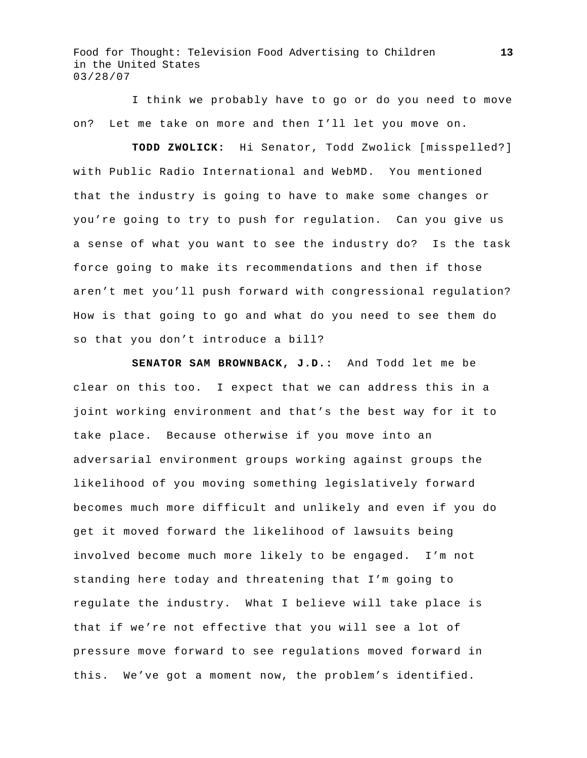I think we probably have to go or do you need to move on? Let me take on more and then I'll let you move on.

**TODD ZWOLICK:** Hi Senator, Todd Zwolick [misspelled?] with Public Radio International and WebMD. You mentioned that the industry is going to have to make some changes or you're going to try to push for regulation. Can you give us a sense of what you want to see the industry do? Is the task force going to make its recommendations and then if those aren't met you'll push forward with congressional regulation? How is that going to go and what do you need to see them do so that you don't introduce a bill?

**SENATOR SAM BROWNBACK, J.D.:** And Todd let me be clear on this too. I expect that we can address this in a joint working environment and that's the best way for it to take place. Because otherwise if you move into an adversarial environment groups working against groups the likelihood of you moving something legislatively forward becomes much more difficult and unlikely and even if you do get it moved forward the likelihood of lawsuits being involved become much more likely to be engaged. I'm not standing here today and threatening that I'm going to regulate the industry. What I believe will take place is that if we're not effective that you will see a lot of pressure move forward to see regulations moved forward in this. We've got a moment now, the problem's identified.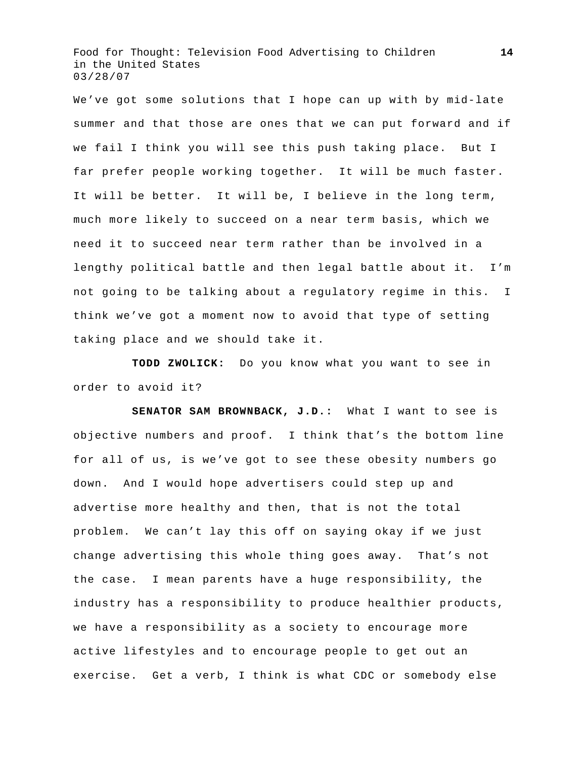We've got some solutions that I hope can up with by mid-late summer and that those are ones that we can put forward and if we fail I think you will see this push taking place. But I far prefer people working together. It will be much faster. It will be better. It will be, I believe in the long term, much more likely to succeed on a near term basis, which we need it to succeed near term rather than be involved in a lengthy political battle and then legal battle about it. I'm not going to be talking about a regulatory regime in this. I think we've got a moment now to avoid that type of setting taking place and we should take it.

**TODD ZWOLICK:** Do you know what you want to see in order to avoid it?

**SENATOR SAM BROWNBACK, J.D.:** What I want to see is objective numbers and proof. I think that's the bottom line for all of us, is we've got to see these obesity numbers go down. And I would hope advertisers could step up and advertise more healthy and then, that is not the total problem. We can't lay this off on saying okay if we just change advertising this whole thing goes away. That's not the case. I mean parents have a huge responsibility, the industry has a responsibility to produce healthier products, we have a responsibility as a society to encourage more active lifestyles and to encourage people to get out an exercise. Get a verb, I think is what CDC or somebody else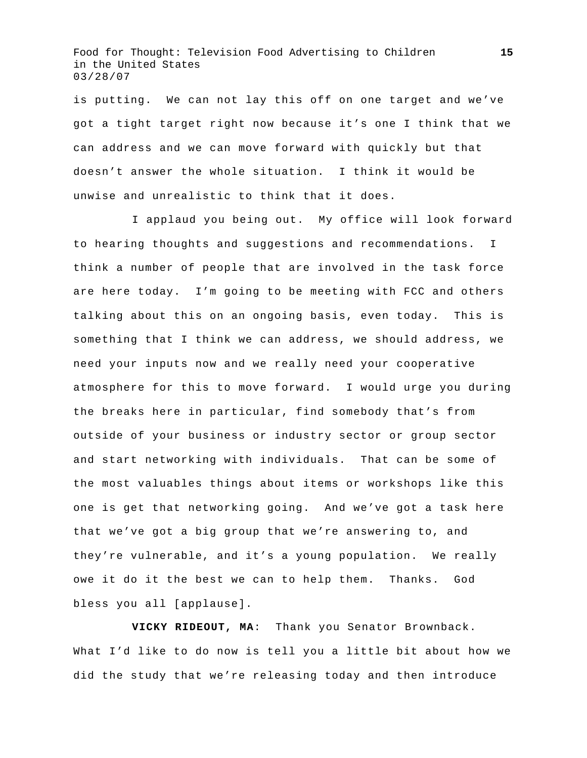is putting. We can not lay this off on one target and we've got a tight target right now because it's one I think that we can address and we can move forward with quickly but that doesn't answer the whole situation. I think it would be unwise and unrealistic to think that it does.

 I applaud you being out. My office will look forward to hearing thoughts and suggestions and recommendations. I think a number of people that are involved in the task force are here today. I'm going to be meeting with FCC and others talking about this on an ongoing basis, even today. This is something that I think we can address, we should address, we need your inputs now and we really need your cooperative atmosphere for this to move forward. I would urge you during the breaks here in particular, find somebody that's from outside of your business or industry sector or group sector and start networking with individuals. That can be some of the most valuables things about items or workshops like this one is get that networking going. And we've got a task here that we've got a big group that we're answering to, and they're vulnerable, and it's a young population. We really owe it do it the best we can to help them. Thanks. God bless you all [applause].

**VICKY RIDEOUT, MA**: Thank you Senator Brownback. What I'd like to do now is tell you a little bit about how we did the study that we're releasing today and then introduce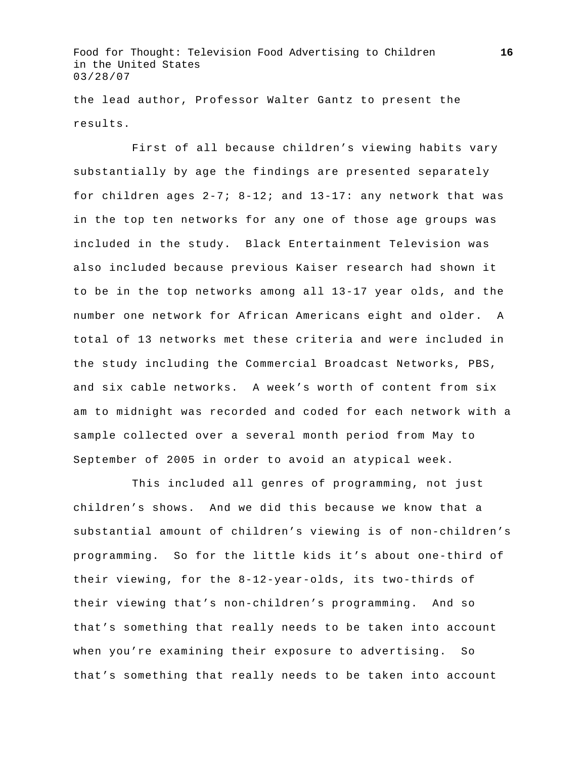the lead author, Professor Walter Gantz to present the results.

 First of all because children's viewing habits vary substantially by age the findings are presented separately for children ages 2-7; 8-12; and 13-17: any network that was in the top ten networks for any one of those age groups was included in the study. Black Entertainment Television was also included because previous Kaiser research had shown it to be in the top networks among all 13-17 year olds, and the number one network for African Americans eight and older. A total of 13 networks met these criteria and were included in the study including the Commercial Broadcast Networks, PBS, and six cable networks. A week's worth of content from six am to midnight was recorded and coded for each network with a sample collected over a several month period from May to September of 2005 in order to avoid an atypical week.

 This included all genres of programming, not just children's shows. And we did this because we know that a substantial amount of children's viewing is of non-children's programming. So for the little kids it's about one-third of their viewing, for the 8-12-year-olds, its two-thirds of their viewing that's non-children's programming. And so that's something that really needs to be taken into account when you're examining their exposure to advertising. So that's something that really needs to be taken into account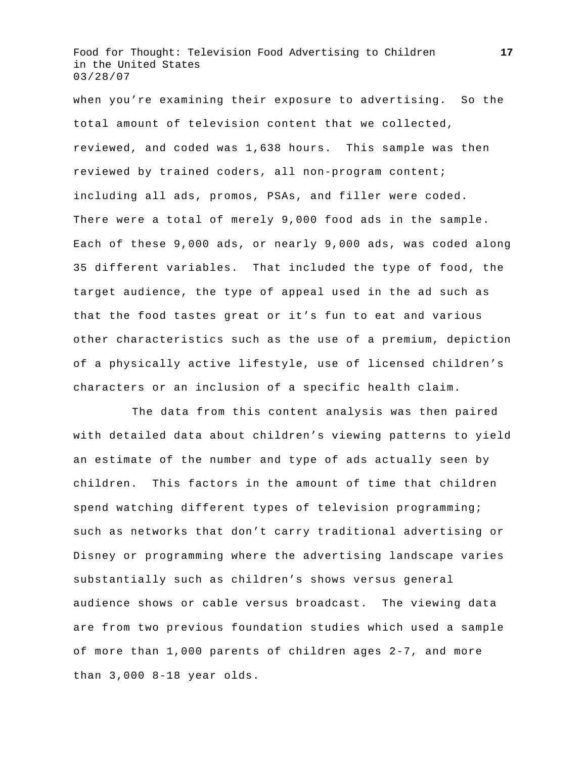when you're examining their exposure to advertising. So the total amount of television content that we collected, reviewed, and coded was 1,638 hours. This sample was then reviewed by trained coders, all non-program content; including all ads, promos, PSAs, and filler were coded. There were a total of merely 9,000 food ads in the sample. Each of these 9,000 ads, or nearly 9,000 ads, was coded along 35 different variables. That included the type of food, the target audience, the type of appeal used in the ad such as that the food tastes great or it's fun to eat and various other characteristics such as the use of a premium, depiction of a physically active lifestyle, use of licensed children's characters or an inclusion of a specific health claim.

 The data from this content analysis was then paired with detailed data about children's viewing patterns to yield an estimate of the number and type of ads actually seen by children. This factors in the amount of time that children spend watching different types of television programming; such as networks that don't carry traditional advertising or Disney or programming where the advertising landscape varies substantially such as children's shows versus general audience shows or cable versus broadcast. The viewing data are from two previous foundation studies which used a sample of more than 1,000 parents of children ages 2-7, and more than 3,000 8-18 year olds.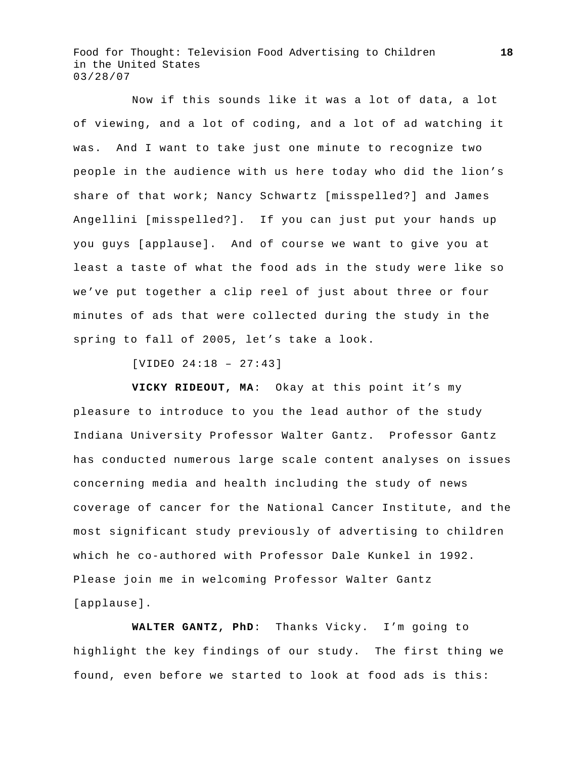Now if this sounds like it was a lot of data, a lot of viewing, and a lot of coding, and a lot of ad watching it was. And I want to take just one minute to recognize two people in the audience with us here today who did the lion's share of that work; Nancy Schwartz [misspelled?] and James Angellini [misspelled?]. If you can just put your hands up you guys [applause]. And of course we want to give you at least a taste of what the food ads in the study were like so we've put together a clip reel of just about three or four minutes of ads that were collected during the study in the spring to fall of 2005, let's take a look.

[VIDEO 24:18 – 27:43]

**VICKY RIDEOUT, MA**: Okay at this point it's my pleasure to introduce to you the lead author of the study Indiana University Professor Walter Gantz. Professor Gantz has conducted numerous large scale content analyses on issues concerning media and health including the study of news coverage of cancer for the National Cancer Institute, and the most significant study previously of advertising to children which he co-authored with Professor Dale Kunkel in 1992. Please join me in welcoming Professor Walter Gantz [applause].

 **WALTER GANTZ, PhD**: Thanks Vicky. I'm going to highlight the key findings of our study. The first thing we found, even before we started to look at food ads is this: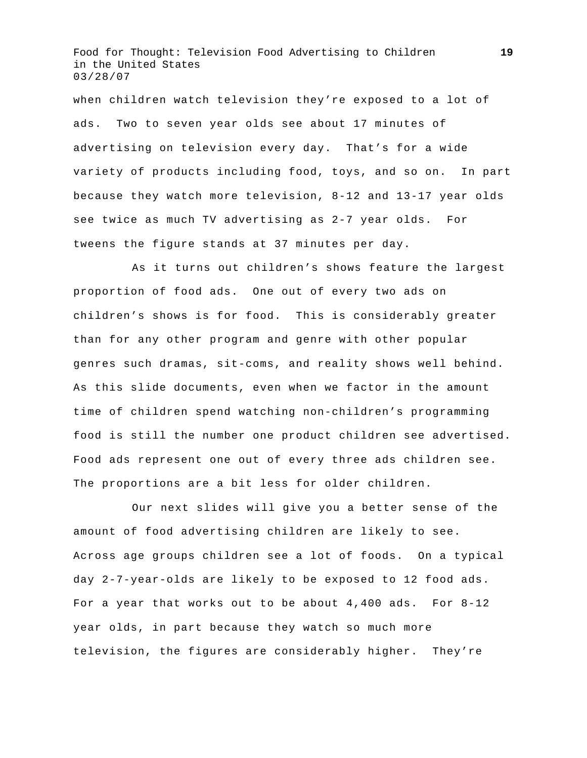when children watch television they're exposed to a lot of ads. Two to seven year olds see about 17 minutes of advertising on television every day. That's for a wide variety of products including food, toys, and so on. In part because they watch more television, 8-12 and 13-17 year olds see twice as much TV advertising as 2-7 year olds. For tweens the figure stands at 37 minutes per day.

 As it turns out children's shows feature the largest proportion of food ads. One out of every two ads on children's shows is for food. This is considerably greater than for any other program and genre with other popular genres such dramas, sit-coms, and reality shows well behind. As this slide documents, even when we factor in the amount time of children spend watching non-children's programming food is still the number one product children see advertised. Food ads represent one out of every three ads children see. The proportions are a bit less for older children.

 Our next slides will give you a better sense of the amount of food advertising children are likely to see. Across age groups children see a lot of foods. On a typical day 2-7-year-olds are likely to be exposed to 12 food ads. For a year that works out to be about 4,400 ads. For 8-12 year olds, in part because they watch so much more television, the figures are considerably higher. They're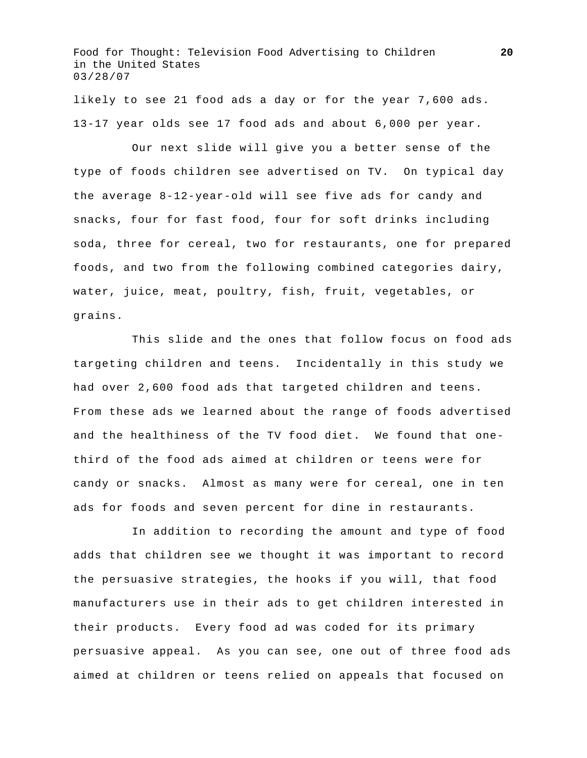likely to see 21 food ads a day or for the year 7,600 ads. 13-17 year olds see 17 food ads and about 6,000 per year.

 Our next slide will give you a better sense of the type of foods children see advertised on TV. On typical day the average 8-12-year-old will see five ads for candy and snacks, four for fast food, four for soft drinks including soda, three for cereal, two for restaurants, one for prepared foods, and two from the following combined categories dairy, water, juice, meat, poultry, fish, fruit, vegetables, or grains.

 This slide and the ones that follow focus on food ads targeting children and teens. Incidentally in this study we had over 2,600 food ads that targeted children and teens. From these ads we learned about the range of foods advertised and the healthiness of the TV food diet. We found that onethird of the food ads aimed at children or teens were for candy or snacks. Almost as many were for cereal, one in ten ads for foods and seven percent for dine in restaurants.

 In addition to recording the amount and type of food adds that children see we thought it was important to record the persuasive strategies, the hooks if you will, that food manufacturers use in their ads to get children interested in their products. Every food ad was coded for its primary persuasive appeal. As you can see, one out of three food ads aimed at children or teens relied on appeals that focused on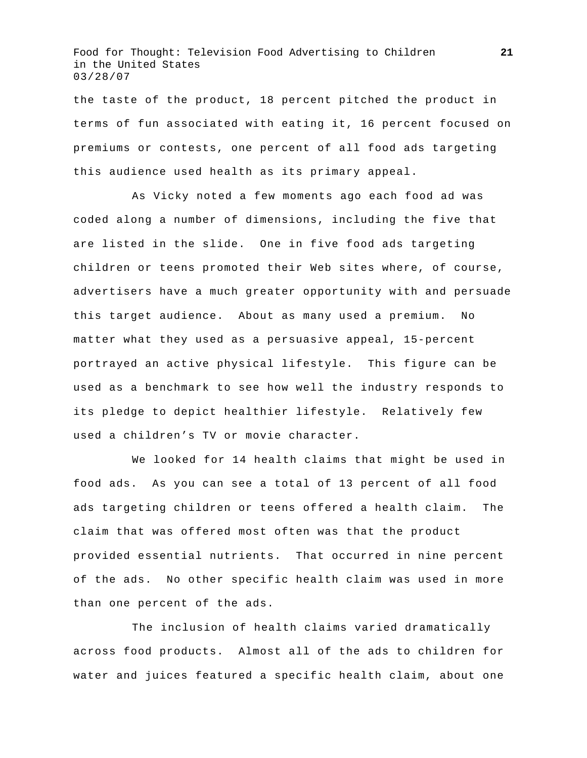the taste of the product, 18 percent pitched the product in terms of fun associated with eating it, 16 percent focused on premiums or contests, one percent of all food ads targeting this audience used health as its primary appeal.

 As Vicky noted a few moments ago each food ad was coded along a number of dimensions, including the five that are listed in the slide. One in five food ads targeting children or teens promoted their Web sites where, of course, advertisers have a much greater opportunity with and persuade this target audience. About as many used a premium. No matter what they used as a persuasive appeal, 15-percent portrayed an active physical lifestyle. This figure can be used as a benchmark to see how well the industry responds to its pledge to depict healthier lifestyle. Relatively few used a children's TV or movie character.

 We looked for 14 health claims that might be used in food ads. As you can see a total of 13 percent of all food ads targeting children or teens offered a health claim. The claim that was offered most often was that the product provided essential nutrients. That occurred in nine percent of the ads. No other specific health claim was used in more than one percent of the ads.

 The inclusion of health claims varied dramatically across food products. Almost all of the ads to children for water and juices featured a specific health claim, about one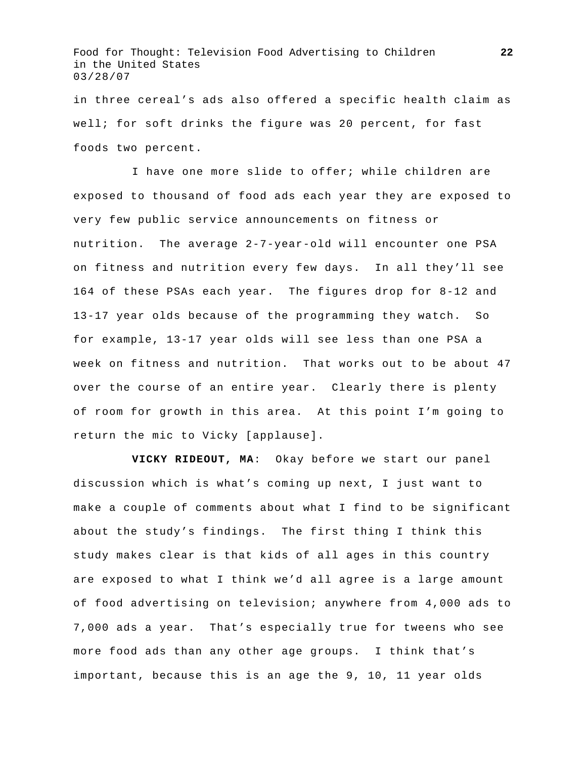in three cereal's ads also offered a specific health claim as well; for soft drinks the figure was 20 percent, for fast foods two percent.

 I have one more slide to offer; while children are exposed to thousand of food ads each year they are exposed to very few public service announcements on fitness or nutrition. The average 2-7-year-old will encounter one PSA on fitness and nutrition every few days. In all they'll see 164 of these PSAs each year. The figures drop for 8-12 and 13-17 year olds because of the programming they watch. So for example, 13-17 year olds will see less than one PSA a week on fitness and nutrition. That works out to be about 47 over the course of an entire year. Clearly there is plenty of room for growth in this area. At this point I'm going to return the mic to Vicky [applause].

**VICKY RIDEOUT, MA**: Okay before we start our panel discussion which is what's coming up next, I just want to make a couple of comments about what I find to be significant about the study's findings. The first thing I think this study makes clear is that kids of all ages in this country are exposed to what I think we'd all agree is a large amount of food advertising on television; anywhere from 4,000 ads to 7,000 ads a year. That's especially true for tweens who see more food ads than any other age groups. I think that's important, because this is an age the 9, 10, 11 year olds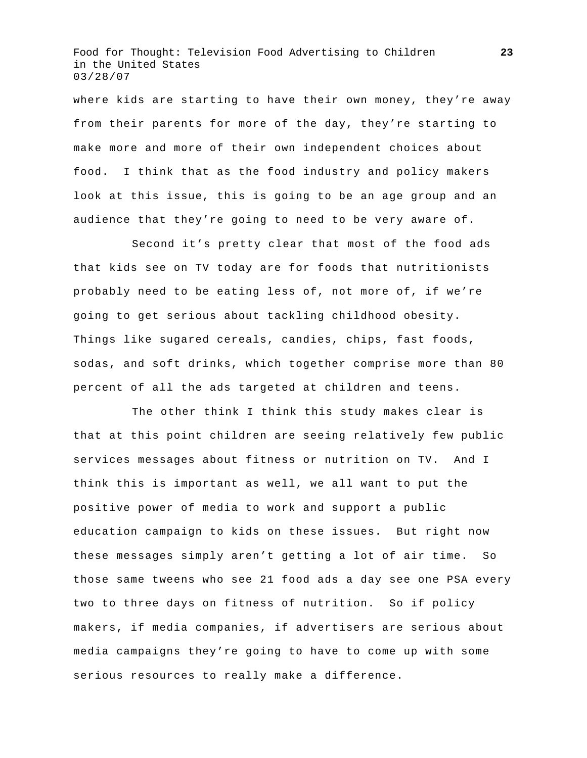where kids are starting to have their own money, they're away from their parents for more of the day, they're starting to make more and more of their own independent choices about food. I think that as the food industry and policy makers look at this issue, this is going to be an age group and an audience that they're going to need to be very aware of.

 Second it's pretty clear that most of the food ads that kids see on TV today are for foods that nutritionists probably need to be eating less of, not more of, if we're going to get serious about tackling childhood obesity. Things like sugared cereals, candies, chips, fast foods, sodas, and soft drinks, which together comprise more than 80 percent of all the ads targeted at children and teens.

 The other think I think this study makes clear is that at this point children are seeing relatively few public services messages about fitness or nutrition on TV. And I think this is important as well, we all want to put the positive power of media to work and support a public education campaign to kids on these issues. But right now these messages simply aren't getting a lot of air time. So those same tweens who see 21 food ads a day see one PSA every two to three days on fitness of nutrition. So if policy makers, if media companies, if advertisers are serious about media campaigns they're going to have to come up with some serious resources to really make a difference.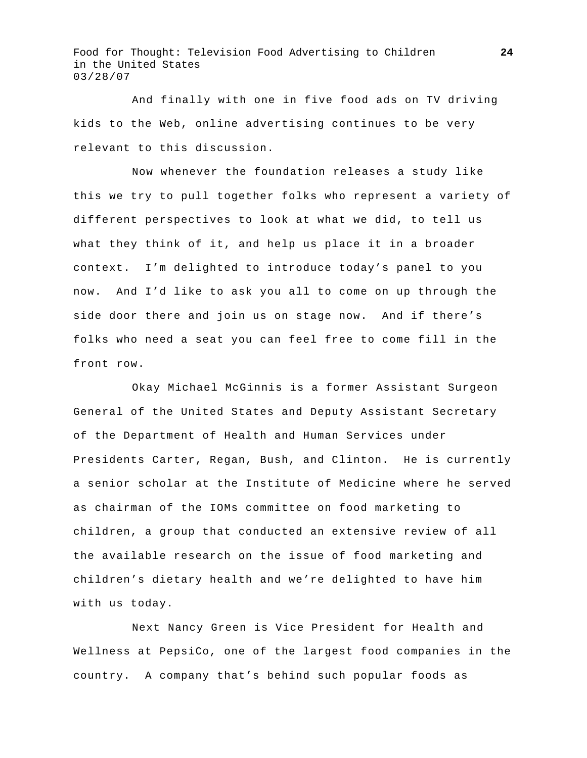And finally with one in five food ads on TV driving kids to the Web, online advertising continues to be very relevant to this discussion.

 Now whenever the foundation releases a study like this we try to pull together folks who represent a variety of different perspectives to look at what we did, to tell us what they think of it, and help us place it in a broader context. I'm delighted to introduce today's panel to you now. And I'd like to ask you all to come on up through the side door there and join us on stage now. And if there's folks who need a seat you can feel free to come fill in the front row.

 Okay Michael McGinnis is a former Assistant Surgeon General of the United States and Deputy Assistant Secretary of the Department of Health and Human Services under Presidents Carter, Regan, Bush, and Clinton. He is currently a senior scholar at the Institute of Medicine where he served as chairman of the IOMs committee on food marketing to children, a group that conducted an extensive review of all the available research on the issue of food marketing and children's dietary health and we're delighted to have him with us today.

 Next Nancy Green is Vice President for Health and Wellness at PepsiCo, one of the largest food companies in the country. A company that's behind such popular foods as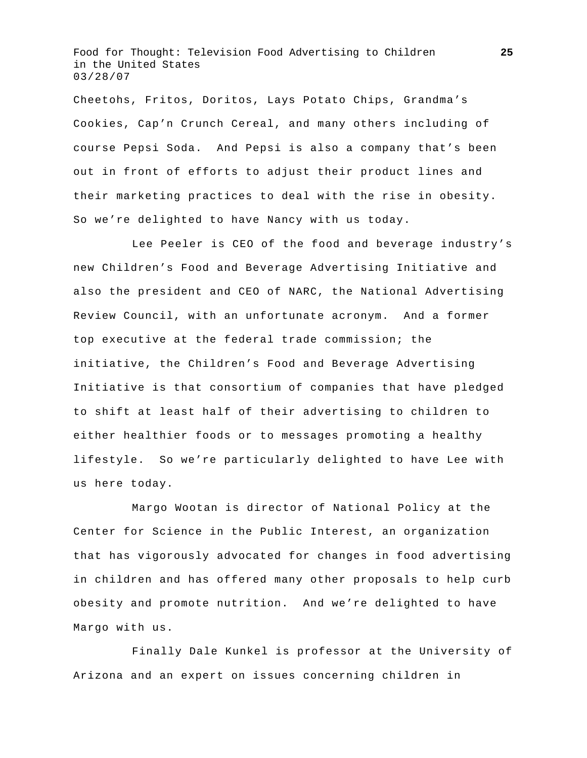Cheetohs, Fritos, Doritos, Lays Potato Chips, Grandma's Cookies, Cap'n Crunch Cereal, and many others including of course Pepsi Soda. And Pepsi is also a company that's been out in front of efforts to adjust their product lines and their marketing practices to deal with the rise in obesity. So we're delighted to have Nancy with us today.

 Lee Peeler is CEO of the food and beverage industry's new Children's Food and Beverage Advertising Initiative and also the president and CEO of NARC, the National Advertising Review Council, with an unfortunate acronym. And a former top executive at the federal trade commission; the initiative, the Children's Food and Beverage Advertising Initiative is that consortium of companies that have pledged to shift at least half of their advertising to children to either healthier foods or to messages promoting a healthy lifestyle. So we're particularly delighted to have Lee with us here today.

 Margo Wootan is director of National Policy at the Center for Science in the Public Interest, an organization that has vigorously advocated for changes in food advertising in children and has offered many other proposals to help curb obesity and promote nutrition. And we're delighted to have Margo with us.

 Finally Dale Kunkel is professor at the University of Arizona and an expert on issues concerning children in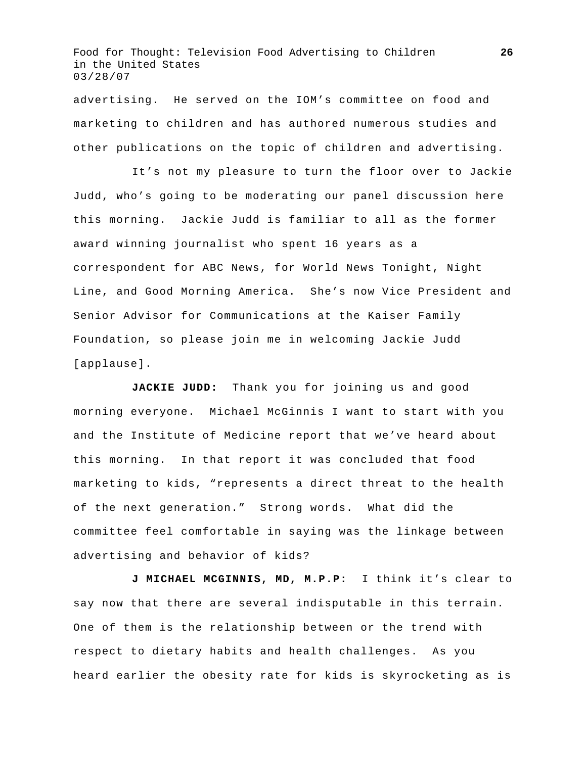advertising. He served on the IOM's committee on food and marketing to children and has authored numerous studies and other publications on the topic of children and advertising.

 It's not my pleasure to turn the floor over to Jackie Judd, who's going to be moderating our panel discussion here this morning. Jackie Judd is familiar to all as the former award winning journalist who spent 16 years as a correspondent for ABC News, for World News Tonight, Night Line, and Good Morning America. She's now Vice President and Senior Advisor for Communications at the Kaiser Family Foundation, so please join me in welcoming Jackie Judd [applause].

 **JACKIE JUDD:** Thank you for joining us and good morning everyone. Michael McGinnis I want to start with you and the Institute of Medicine report that we've heard about this morning. In that report it was concluded that food marketing to kids, "represents a direct threat to the health of the next generation." Strong words. What did the committee feel comfortable in saying was the linkage between advertising and behavior of kids?

**J MICHAEL MCGINNIS, MD, M.P.P:** I think it's clear to say now that there are several indisputable in this terrain. One of them is the relationship between or the trend with respect to dietary habits and health challenges. As you heard earlier the obesity rate for kids is skyrocketing as is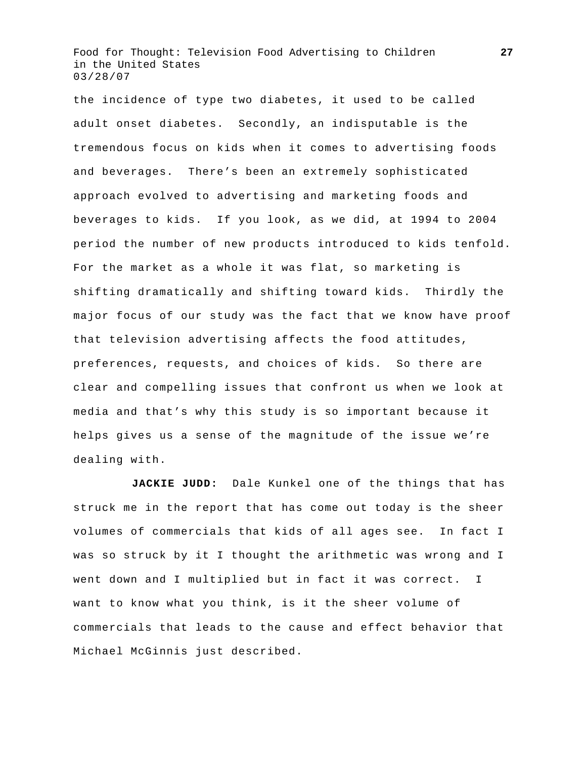the incidence of type two diabetes, it used to be called adult onset diabetes. Secondly, an indisputable is the tremendous focus on kids when it comes to advertising foods and beverages. There's been an extremely sophisticated approach evolved to advertising and marketing foods and beverages to kids. If you look, as we did, at 1994 to 2004 period the number of new products introduced to kids tenfold. For the market as a whole it was flat, so marketing is shifting dramatically and shifting toward kids. Thirdly the major focus of our study was the fact that we know have proof that television advertising affects the food attitudes, preferences, requests, and choices of kids. So there are clear and compelling issues that confront us when we look at media and that's why this study is so important because it helps gives us a sense of the magnitude of the issue we're dealing with.

**JACKIE JUDD:** Dale Kunkel one of the things that has struck me in the report that has come out today is the sheer volumes of commercials that kids of all ages see. In fact I was so struck by it I thought the arithmetic was wrong and I went down and I multiplied but in fact it was correct. I want to know what you think, is it the sheer volume of commercials that leads to the cause and effect behavior that Michael McGinnis just described.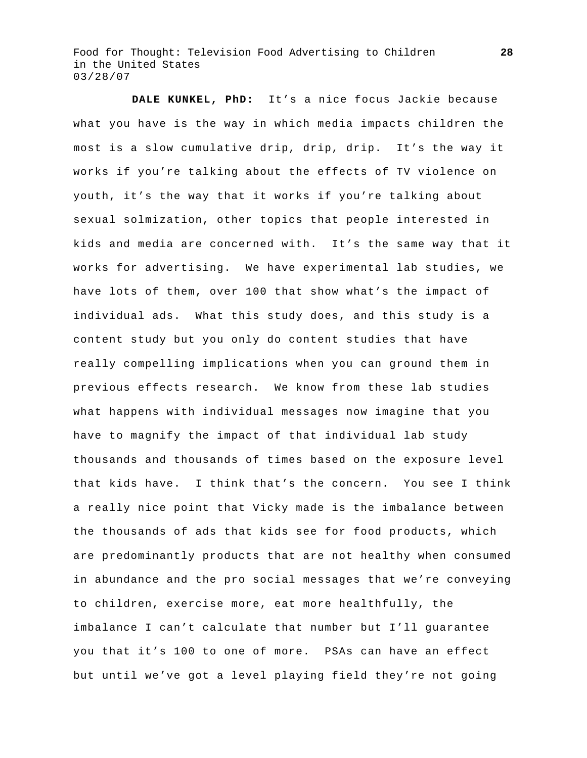**DALE KUNKEL, PhD:** It's a nice focus Jackie because what you have is the way in which media impacts children the most is a slow cumulative drip, drip, drip. It's the way it works if you're talking about the effects of TV violence on youth, it's the way that it works if you're talking about sexual solmization, other topics that people interested in kids and media are concerned with. It's the same way that it works for advertising. We have experimental lab studies, we have lots of them, over 100 that show what's the impact of individual ads. What this study does, and this study is a content study but you only do content studies that have really compelling implications when you can ground them in previous effects research. We know from these lab studies what happens with individual messages now imagine that you have to magnify the impact of that individual lab study thousands and thousands of times based on the exposure level that kids have. I think that's the concern. You see I think a really nice point that Vicky made is the imbalance between the thousands of ads that kids see for food products, which are predominantly products that are not healthy when consumed in abundance and the pro social messages that we're conveying to children, exercise more, eat more healthfully, the imbalance I can't calculate that number but I'll guarantee you that it's 100 to one of more. PSAs can have an effect but until we've got a level playing field they're not going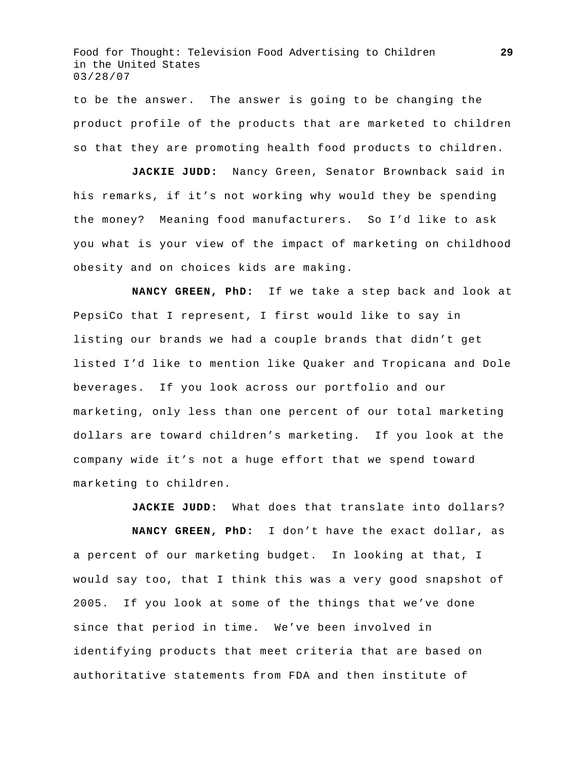to be the answer. The answer is going to be changing the product profile of the products that are marketed to children so that they are promoting health food products to children.

**JACKIE JUDD:** Nancy Green, Senator Brownback said in his remarks, if it's not working why would they be spending the money? Meaning food manufacturers. So I'd like to ask you what is your view of the impact of marketing on childhood obesity and on choices kids are making.

 **NANCY GREEN, PhD:** If we take a step back and look at PepsiCo that I represent, I first would like to say in listing our brands we had a couple brands that didn't get listed I'd like to mention like Quaker and Tropicana and Dole beverages. If you look across our portfolio and our marketing, only less than one percent of our total marketing dollars are toward children's marketing. If you look at the company wide it's not a huge effort that we spend toward marketing to children.

**JACKIE JUDD:** What does that translate into dollars?

**NANCY GREEN, PhD:** I don't have the exact dollar, as a percent of our marketing budget. In looking at that, I would say too, that I think this was a very good snapshot of 2005. If you look at some of the things that we've done since that period in time. We've been involved in identifying products that meet criteria that are based on authoritative statements from FDA and then institute of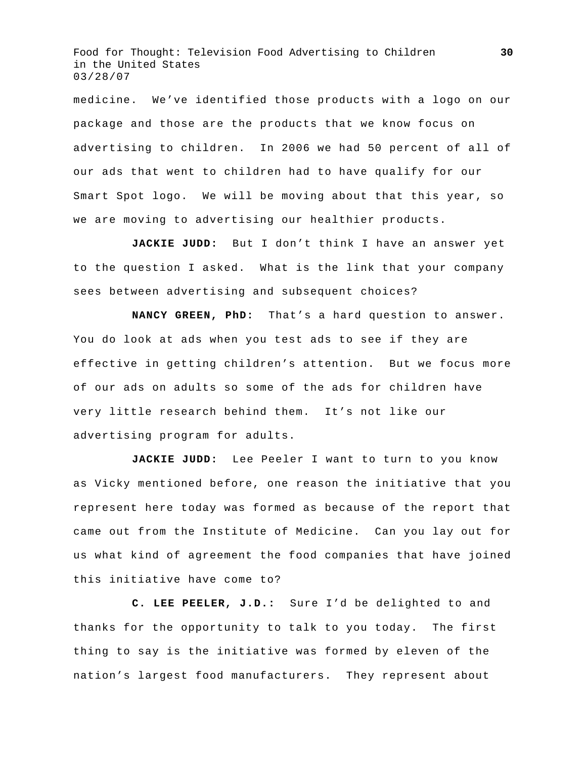medicine. We've identified those products with a logo on our package and those are the products that we know focus on advertising to children. In 2006 we had 50 percent of all of our ads that went to children had to have qualify for our Smart Spot logo. We will be moving about that this year, so we are moving to advertising our healthier products.

**JACKIE JUDD:** But I don't think I have an answer yet to the question I asked. What is the link that your company sees between advertising and subsequent choices?

**NANCY GREEN, PhD:** That's a hard question to answer. You do look at ads when you test ads to see if they are effective in getting children's attention. But we focus more of our ads on adults so some of the ads for children have very little research behind them. It's not like our advertising program for adults.

**JACKIE JUDD:** Lee Peeler I want to turn to you know as Vicky mentioned before, one reason the initiative that you represent here today was formed as because of the report that came out from the Institute of Medicine. Can you lay out for us what kind of agreement the food companies that have joined this initiative have come to?

**C. LEE PEELER, J.D.:** Sure I'd be delighted to and thanks for the opportunity to talk to you today. The first thing to say is the initiative was formed by eleven of the nation's largest food manufacturers. They represent about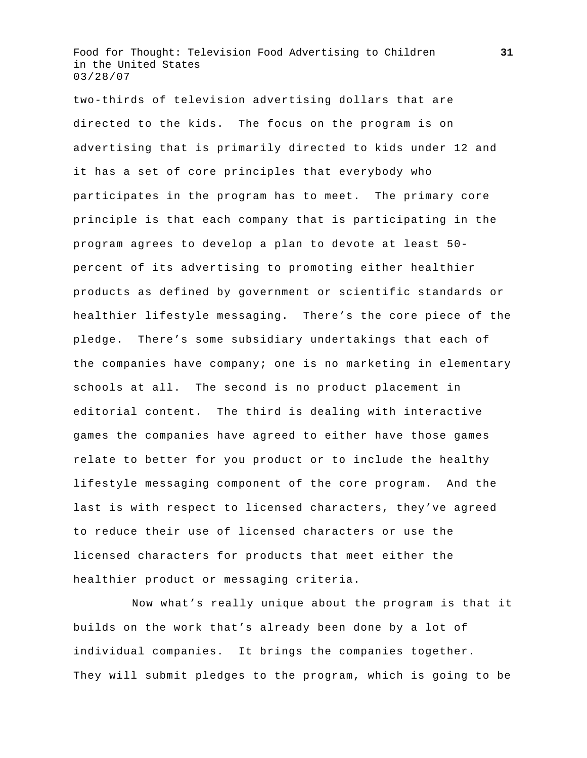two-thirds of television advertising dollars that are directed to the kids. The focus on the program is on advertising that is primarily directed to kids under 12 and it has a set of core principles that everybody who participates in the program has to meet. The primary core principle is that each company that is participating in the program agrees to develop a plan to devote at least 50 percent of its advertising to promoting either healthier products as defined by government or scientific standards or healthier lifestyle messaging. There's the core piece of the pledge. There's some subsidiary undertakings that each of the companies have company; one is no marketing in elementary schools at all. The second is no product placement in editorial content. The third is dealing with interactive games the companies have agreed to either have those games relate to better for you product or to include the healthy lifestyle messaging component of the core program. And the last is with respect to licensed characters, they've agreed to reduce their use of licensed characters or use the licensed characters for products that meet either the healthier product or messaging criteria.

 Now what's really unique about the program is that it builds on the work that's already been done by a lot of individual companies. It brings the companies together. They will submit pledges to the program, which is going to be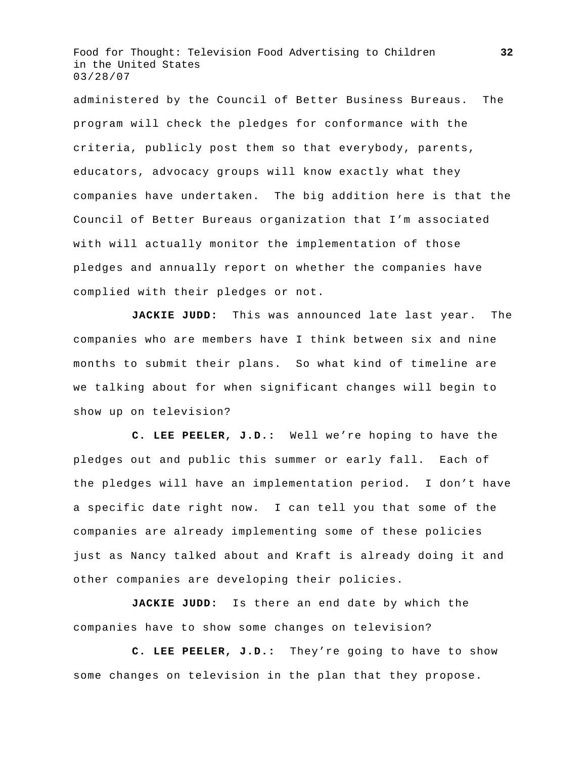administered by the Council of Better Business Bureaus. The program will check the pledges for conformance with the criteria, publicly post them so that everybody, parents, educators, advocacy groups will know exactly what they companies have undertaken. The big addition here is that the Council of Better Bureaus organization that I'm associated with will actually monitor the implementation of those pledges and annually report on whether the companies have complied with their pledges or not.

**JACKIE JUDD:** This was announced late last year. The companies who are members have I think between six and nine months to submit their plans. So what kind of timeline are we talking about for when significant changes will begin to show up on television?

**C. LEE PEELER, J.D.:** Well we're hoping to have the pledges out and public this summer or early fall. Each of the pledges will have an implementation period. I don't have a specific date right now. I can tell you that some of the companies are already implementing some of these policies just as Nancy talked about and Kraft is already doing it and other companies are developing their policies.

**JACKIE JUDD:** Is there an end date by which the companies have to show some changes on television?

**C. LEE PEELER, J.D.:** They're going to have to show some changes on television in the plan that they propose.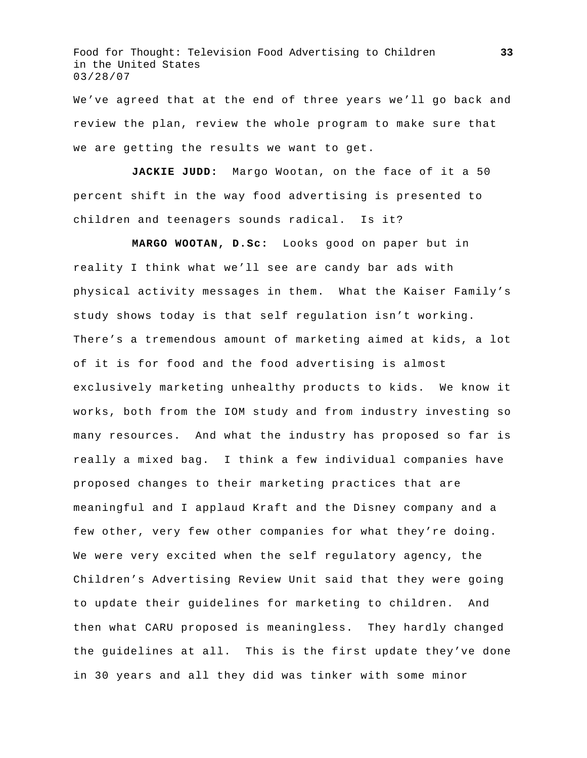We've agreed that at the end of three years we'll go back and review the plan, review the whole program to make sure that we are getting the results we want to get.

**JACKIE JUDD:** Margo Wootan, on the face of it a 50 percent shift in the way food advertising is presented to children and teenagers sounds radical. Is it?

**MARGO WOOTAN, D.Sc:** Looks good on paper but in reality I think what we'll see are candy bar ads with physical activity messages in them. What the Kaiser Family's study shows today is that self regulation isn't working. There's a tremendous amount of marketing aimed at kids, a lot of it is for food and the food advertising is almost exclusively marketing unhealthy products to kids. We know it works, both from the IOM study and from industry investing so many resources. And what the industry has proposed so far is really a mixed bag. I think a few individual companies have proposed changes to their marketing practices that are meaningful and I applaud Kraft and the Disney company and a few other, very few other companies for what they're doing. We were very excited when the self regulatory agency, the Children's Advertising Review Unit said that they were going to update their guidelines for marketing to children. And then what CARU proposed is meaningless. They hardly changed the guidelines at all. This is the first update they've done in 30 years and all they did was tinker with some minor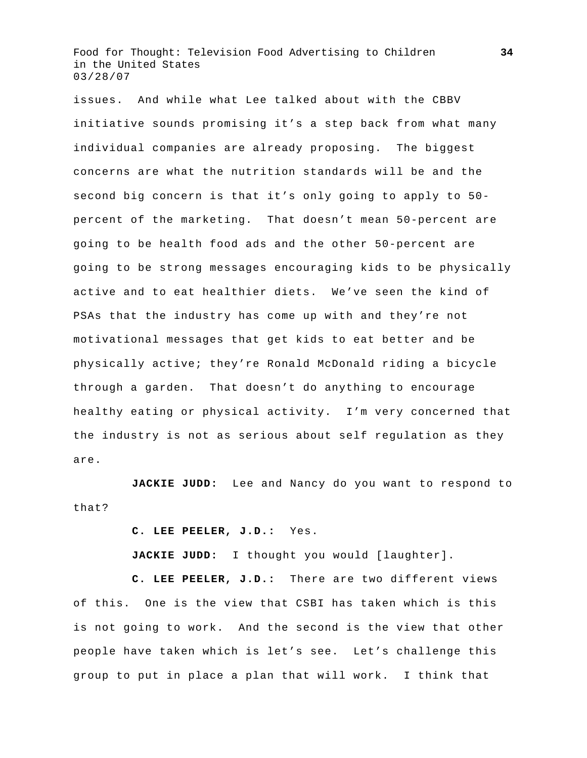issues. And while what Lee talked about with the CBBV initiative sounds promising it's a step back from what many individual companies are already proposing. The biggest concerns are what the nutrition standards will be and the second big concern is that it's only going to apply to 50 percent of the marketing. That doesn't mean 50-percent are going to be health food ads and the other 50-percent are going to be strong messages encouraging kids to be physically active and to eat healthier diets. We've seen the kind of PSAs that the industry has come up with and they're not motivational messages that get kids to eat better and be physically active; they're Ronald McDonald riding a bicycle through a garden. That doesn't do anything to encourage healthy eating or physical activity. I'm very concerned that the industry is not as serious about self regulation as they are.

**JACKIE JUDD:** Lee and Nancy do you want to respond to that?

**C. LEE PEELER, J.D.:** Yes.

**JACKIE JUDD:** I thought you would [laughter].

**C. LEE PEELER, J.D.:** There are two different views of this. One is the view that CSBI has taken which is this is not going to work. And the second is the view that other people have taken which is let's see. Let's challenge this group to put in place a plan that will work. I think that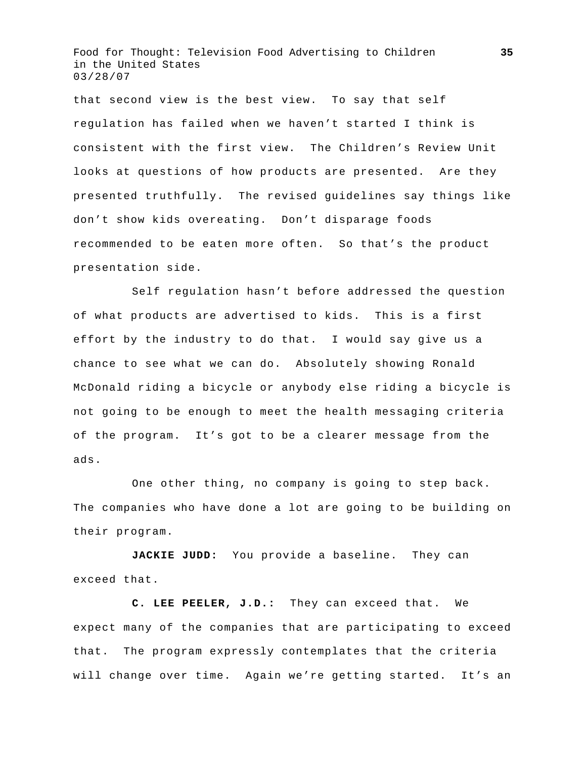that second view is the best view. To say that self regulation has failed when we haven't started I think is consistent with the first view. The Children's Review Unit looks at questions of how products are presented. Are they presented truthfully. The revised guidelines say things like don't show kids overeating. Don't disparage foods recommended to be eaten more often. So that's the product presentation side.

 Self regulation hasn't before addressed the question of what products are advertised to kids. This is a first effort by the industry to do that. I would say give us a chance to see what we can do. Absolutely showing Ronald McDonald riding a bicycle or anybody else riding a bicycle is not going to be enough to meet the health messaging criteria of the program. It's got to be a clearer message from the ads.

 One other thing, no company is going to step back. The companies who have done a lot are going to be building on their program.

**JACKIE JUDD:** You provide a baseline. They can exceed that.

**C. LEE PEELER, J.D.:** They can exceed that. We expect many of the companies that are participating to exceed that. The program expressly contemplates that the criteria will change over time. Again we're getting started. It's an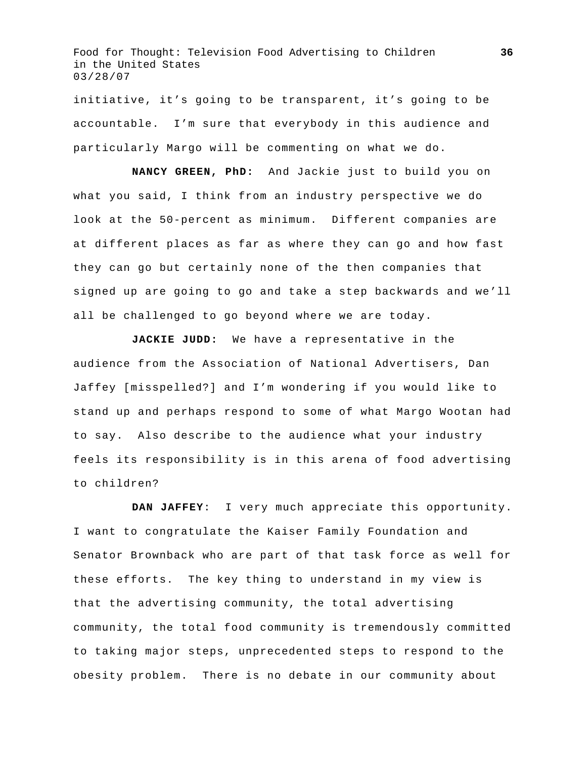initiative, it's going to be transparent, it's going to be accountable. I'm sure that everybody in this audience and particularly Margo will be commenting on what we do.

**NANCY GREEN, PhD:** And Jackie just to build you on what you said, I think from an industry perspective we do look at the 50-percent as minimum. Different companies are at different places as far as where they can go and how fast they can go but certainly none of the then companies that signed up are going to go and take a step backwards and we'll all be challenged to go beyond where we are today.

**JACKIE JUDD:** We have a representative in the audience from the Association of National Advertisers, Dan Jaffey [misspelled?] and I'm wondering if you would like to stand up and perhaps respond to some of what Margo Wootan had to say. Also describe to the audience what your industry feels its responsibility is in this arena of food advertising to children?

**DAN JAFFEY**: I very much appreciate this opportunity. I want to congratulate the Kaiser Family Foundation and Senator Brownback who are part of that task force as well for these efforts. The key thing to understand in my view is that the advertising community, the total advertising community, the total food community is tremendously committed to taking major steps, unprecedented steps to respond to the obesity problem. There is no debate in our community about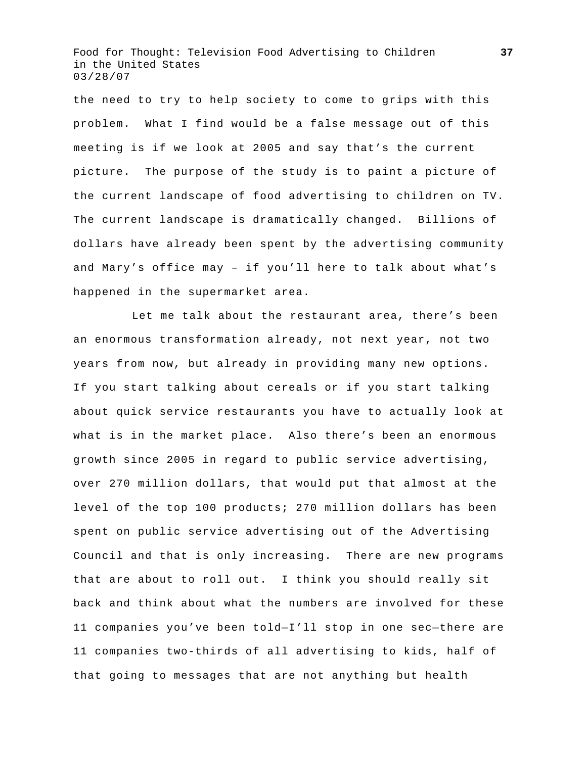the need to try to help society to come to grips with this problem. What I find would be a false message out of this meeting is if we look at 2005 and say that's the current picture. The purpose of the study is to paint a picture of the current landscape of food advertising to children on TV. The current landscape is dramatically changed. Billions of dollars have already been spent by the advertising community and Mary's office may – if you'll here to talk about what's happened in the supermarket area.

 Let me talk about the restaurant area, there's been an enormous transformation already, not next year, not two years from now, but already in providing many new options. If you start talking about cereals or if you start talking about quick service restaurants you have to actually look at what is in the market place. Also there's been an enormous growth since 2005 in regard to public service advertising, over 270 million dollars, that would put that almost at the level of the top 100 products; 270 million dollars has been spent on public service advertising out of the Advertising Council and that is only increasing. There are new programs that are about to roll out. I think you should really sit back and think about what the numbers are involved for these 11 companies you've been told—I'll stop in one sec—there are 11 companies two-thirds of all advertising to kids, half of that going to messages that are not anything but health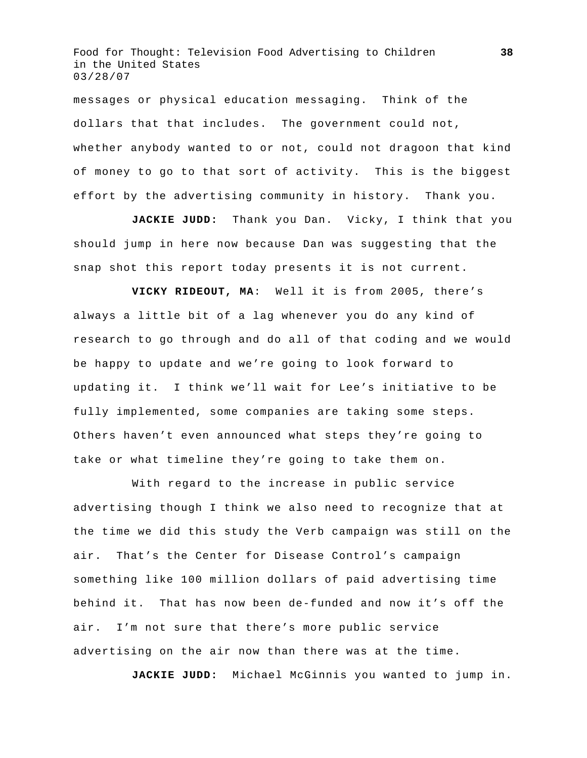messages or physical education messaging. Think of the dollars that that includes. The government could not, whether anybody wanted to or not, could not dragoon that kind of money to go to that sort of activity. This is the biggest effort by the advertising community in history. Thank you.

**JACKIE JUDD:** Thank you Dan. Vicky, I think that you should jump in here now because Dan was suggesting that the snap shot this report today presents it is not current.

**VICKY RIDEOUT, MA**: Well it is from 2005, there's always a little bit of a lag whenever you do any kind of research to go through and do all of that coding and we would be happy to update and we're going to look forward to updating it. I think we'll wait for Lee's initiative to be fully implemented, some companies are taking some steps. Others haven't even announced what steps they're going to take or what timeline they're going to take them on.

 With regard to the increase in public service advertising though I think we also need to recognize that at the time we did this study the Verb campaign was still on the air. That's the Center for Disease Control's campaign something like 100 million dollars of paid advertising time behind it. That has now been de-funded and now it's off the air. I'm not sure that there's more public service advertising on the air now than there was at the time.

**JACKIE JUDD:** Michael McGinnis you wanted to jump in.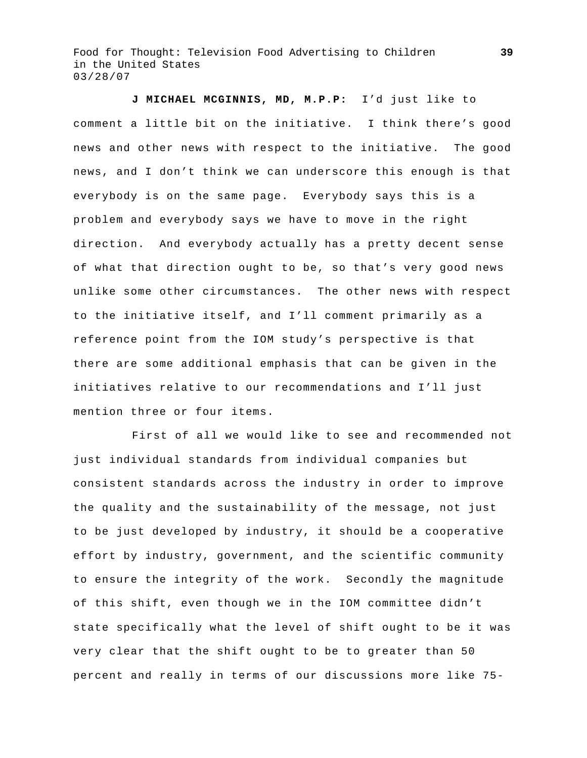**J MICHAEL MCGINNIS, MD, M.P.P:** I'd just like to comment a little bit on the initiative. I think there's good news and other news with respect to the initiative. The good news, and I don't think we can underscore this enough is that everybody is on the same page. Everybody says this is a problem and everybody says we have to move in the right direction. And everybody actually has a pretty decent sense of what that direction ought to be, so that's very good news unlike some other circumstances. The other news with respect to the initiative itself, and I'll comment primarily as a reference point from the IOM study's perspective is that there are some additional emphasis that can be given in the initiatives relative to our recommendations and I'll just mention three or four items.

 First of all we would like to see and recommended not just individual standards from individual companies but consistent standards across the industry in order to improve the quality and the sustainability of the message, not just to be just developed by industry, it should be a cooperative effort by industry, government, and the scientific community to ensure the integrity of the work. Secondly the magnitude of this shift, even though we in the IOM committee didn't state specifically what the level of shift ought to be it was very clear that the shift ought to be to greater than 50 percent and really in terms of our discussions more like 75-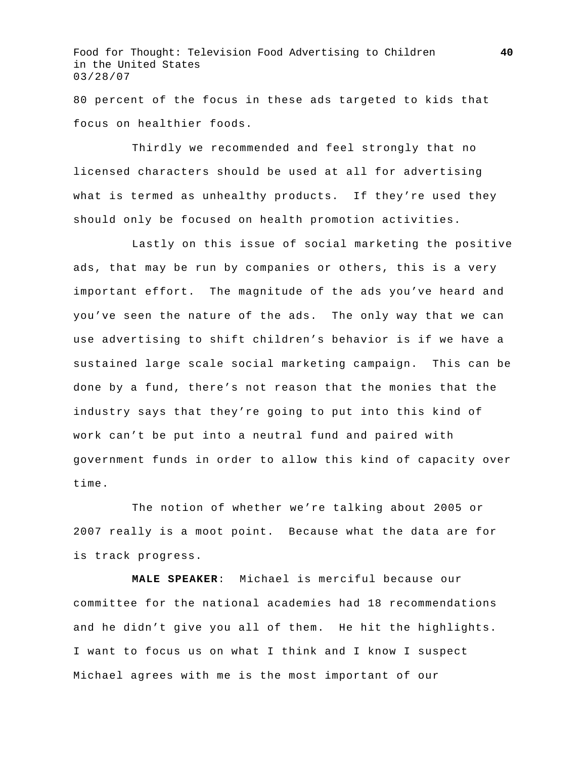80 percent of the focus in these ads targeted to kids that focus on healthier foods.

 Thirdly we recommended and feel strongly that no licensed characters should be used at all for advertising what is termed as unhealthy products. If they're used they should only be focused on health promotion activities.

 Lastly on this issue of social marketing the positive ads, that may be run by companies or others, this is a very important effort. The magnitude of the ads you've heard and you've seen the nature of the ads. The only way that we can use advertising to shift children's behavior is if we have a sustained large scale social marketing campaign. This can be done by a fund, there's not reason that the monies that the industry says that they're going to put into this kind of work can't be put into a neutral fund and paired with government funds in order to allow this kind of capacity over time.

 The notion of whether we're talking about 2005 or 2007 really is a moot point. Because what the data are for is track progress.

**MALE SPEAKER**: Michael is merciful because our committee for the national academies had 18 recommendations and he didn't give you all of them. He hit the highlights. I want to focus us on what I think and I know I suspect Michael agrees with me is the most important of our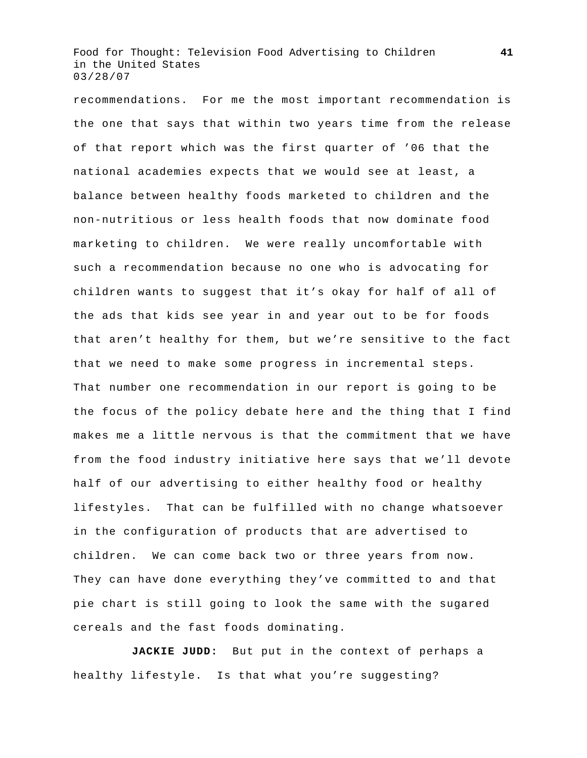recommendations. For me the most important recommendation is the one that says that within two years time from the release of that report which was the first quarter of '06 that the national academies expects that we would see at least, a balance between healthy foods marketed to children and the non-nutritious or less health foods that now dominate food marketing to children. We were really uncomfortable with such a recommendation because no one who is advocating for children wants to suggest that it's okay for half of all of the ads that kids see year in and year out to be for foods that aren't healthy for them, but we're sensitive to the fact that we need to make some progress in incremental steps. That number one recommendation in our report is going to be the focus of the policy debate here and the thing that I find makes me a little nervous is that the commitment that we have from the food industry initiative here says that we'll devote half of our advertising to either healthy food or healthy lifestyles. That can be fulfilled with no change whatsoever in the configuration of products that are advertised to children. We can come back two or three years from now. They can have done everything they've committed to and that pie chart is still going to look the same with the sugared cereals and the fast foods dominating.

**JACKIE JUDD:** But put in the context of perhaps a healthy lifestyle. Is that what you're suggesting?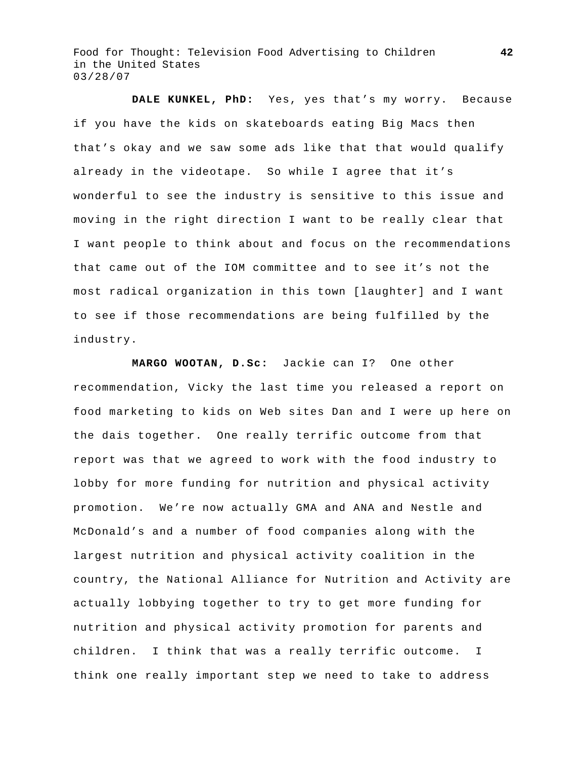**DALE KUNKEL, PhD:** Yes, yes that's my worry. Because if you have the kids on skateboards eating Big Macs then that's okay and we saw some ads like that that would qualify already in the videotape. So while I agree that it's wonderful to see the industry is sensitive to this issue and moving in the right direction I want to be really clear that I want people to think about and focus on the recommendations that came out of the IOM committee and to see it's not the most radical organization in this town [laughter] and I want to see if those recommendations are being fulfilled by the industry.

**MARGO WOOTAN, D.Sc:** Jackie can I? One other recommendation, Vicky the last time you released a report on food marketing to kids on Web sites Dan and I were up here on the dais together. One really terrific outcome from that report was that we agreed to work with the food industry to lobby for more funding for nutrition and physical activity promotion. We're now actually GMA and ANA and Nestle and McDonald's and a number of food companies along with the largest nutrition and physical activity coalition in the country, the National Alliance for Nutrition and Activity are actually lobbying together to try to get more funding for nutrition and physical activity promotion for parents and children. I think that was a really terrific outcome. I think one really important step we need to take to address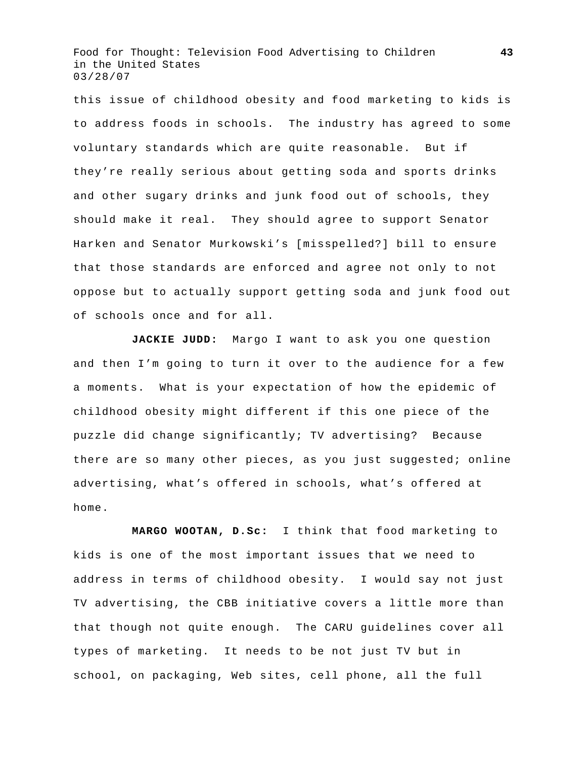this issue of childhood obesity and food marketing to kids is to address foods in schools. The industry has agreed to some voluntary standards which are quite reasonable. But if they're really serious about getting soda and sports drinks and other sugary drinks and junk food out of schools, they should make it real. They should agree to support Senator Harken and Senator Murkowski's [misspelled?] bill to ensure that those standards are enforced and agree not only to not oppose but to actually support getting soda and junk food out of schools once and for all.

**JACKIE JUDD:** Margo I want to ask you one question and then I'm going to turn it over to the audience for a few a moments. What is your expectation of how the epidemic of childhood obesity might different if this one piece of the puzzle did change significantly; TV advertising? Because there are so many other pieces, as you just suggested; online advertising, what's offered in schools, what's offered at home.

**MARGO WOOTAN, D.Sc:** I think that food marketing to kids is one of the most important issues that we need to address in terms of childhood obesity. I would say not just TV advertising, the CBB initiative covers a little more than that though not quite enough. The CARU guidelines cover all types of marketing. It needs to be not just TV but in school, on packaging, Web sites, cell phone, all the full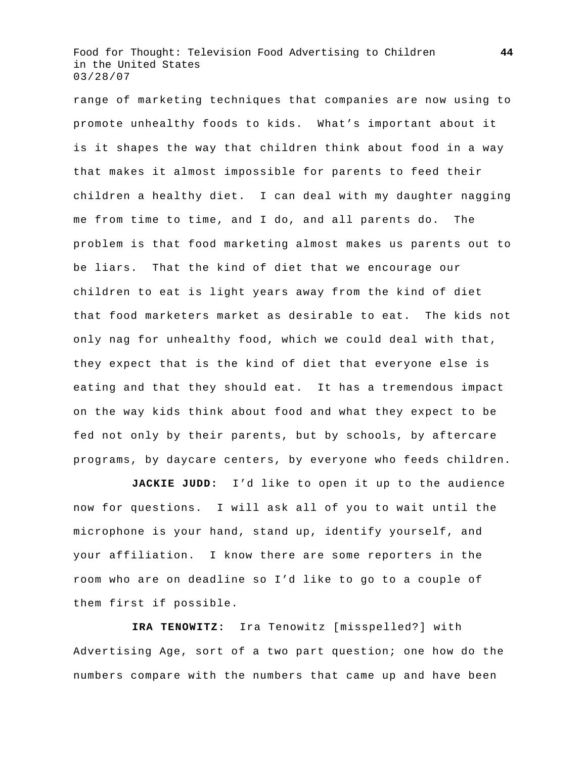range of marketing techniques that companies are now using to promote unhealthy foods to kids. What's important about it is it shapes the way that children think about food in a way that makes it almost impossible for parents to feed their children a healthy diet. I can deal with my daughter nagging me from time to time, and I do, and all parents do. The problem is that food marketing almost makes us parents out to be liars. That the kind of diet that we encourage our children to eat is light years away from the kind of diet that food marketers market as desirable to eat. The kids not only nag for unhealthy food, which we could deal with that, they expect that is the kind of diet that everyone else is eating and that they should eat. It has a tremendous impact on the way kids think about food and what they expect to be fed not only by their parents, but by schools, by aftercare programs, by daycare centers, by everyone who feeds children.

**JACKIE JUDD:** I'd like to open it up to the audience now for questions. I will ask all of you to wait until the microphone is your hand, stand up, identify yourself, and your affiliation. I know there are some reporters in the room who are on deadline so I'd like to go to a couple of them first if possible.

**IRA TENOWITZ:** Ira Tenowitz [misspelled?] with Advertising Age, sort of a two part question; one how do the numbers compare with the numbers that came up and have been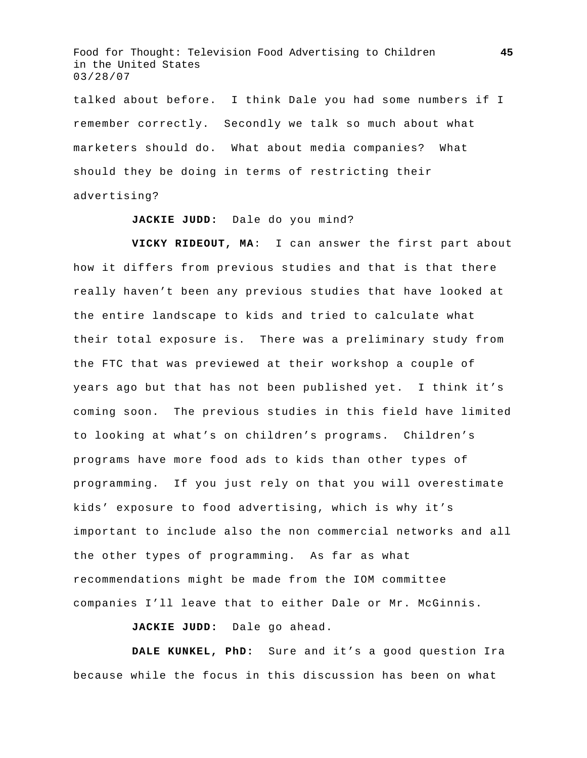talked about before. I think Dale you had some numbers if I remember correctly. Secondly we talk so much about what marketers should do. What about media companies? What should they be doing in terms of restricting their advertising?

## **JACKIE JUDD:** Dale do you mind?

**VICKY RIDEOUT, MA**: I can answer the first part about how it differs from previous studies and that is that there really haven't been any previous studies that have looked at the entire landscape to kids and tried to calculate what their total exposure is. There was a preliminary study from the FTC that was previewed at their workshop a couple of years ago but that has not been published yet. I think it's coming soon. The previous studies in this field have limited to looking at what's on children's programs. Children's programs have more food ads to kids than other types of programming. If you just rely on that you will overestimate kids' exposure to food advertising, which is why it's important to include also the non commercial networks and all the other types of programming. As far as what recommendations might be made from the IOM committee companies I'll leave that to either Dale or Mr. McGinnis.

**JACKIE JUDD:** Dale go ahead.

**DALE KUNKEL, PhD:** Sure and it's a good question Ira because while the focus in this discussion has been on what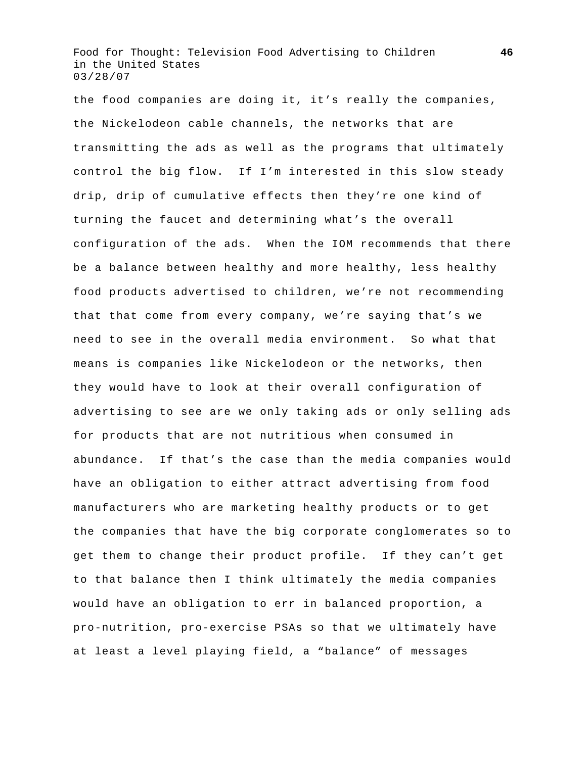the food companies are doing it, it's really the companies, the Nickelodeon cable channels, the networks that are transmitting the ads as well as the programs that ultimately control the big flow. If I'm interested in this slow steady drip, drip of cumulative effects then they're one kind of turning the faucet and determining what's the overall configuration of the ads. When the IOM recommends that there be a balance between healthy and more healthy, less healthy food products advertised to children, we're not recommending that that come from every company, we're saying that's we need to see in the overall media environment. So what that means is companies like Nickelodeon or the networks, then they would have to look at their overall configuration of advertising to see are we only taking ads or only selling ads for products that are not nutritious when consumed in abundance. If that's the case than the media companies would have an obligation to either attract advertising from food manufacturers who are marketing healthy products or to get the companies that have the big corporate conglomerates so to get them to change their product profile. If they can't get to that balance then I think ultimately the media companies would have an obligation to err in balanced proportion, a pro-nutrition, pro-exercise PSAs so that we ultimately have at least a level playing field, a "balance" of messages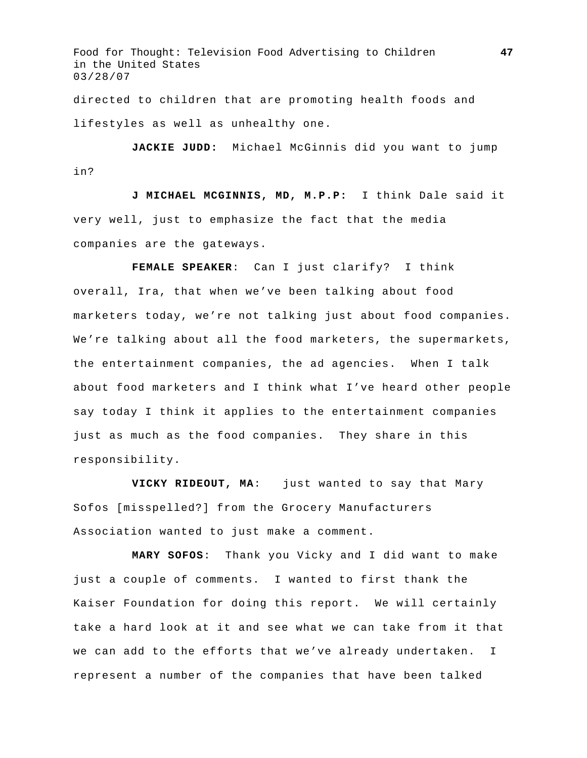directed to children that are promoting health foods and lifestyles as well as unhealthy one.

JACKIE JUDD: Michael McGinnis did you want to jump in?

**J MICHAEL MCGINNIS, MD, M.P.P:** I think Dale said it very well, just to emphasize the fact that the media companies are the gateways.

**FEMALE SPEAKER**: Can I just clarify? I think overall, Ira, that when we've been talking about food marketers today, we're not talking just about food companies. We're talking about all the food marketers, the supermarkets, the entertainment companies, the ad agencies. When I talk about food marketers and I think what I've heard other people say today I think it applies to the entertainment companies just as much as the food companies. They share in this responsibility.

**VICKY RIDEOUT, MA**: just wanted to say that Mary Sofos [misspelled?] from the Grocery Manufacturers Association wanted to just make a comment.

**MARY SOFOS**: Thank you Vicky and I did want to make just a couple of comments. I wanted to first thank the Kaiser Foundation for doing this report. We will certainly take a hard look at it and see what we can take from it that we can add to the efforts that we've already undertaken. I represent a number of the companies that have been talked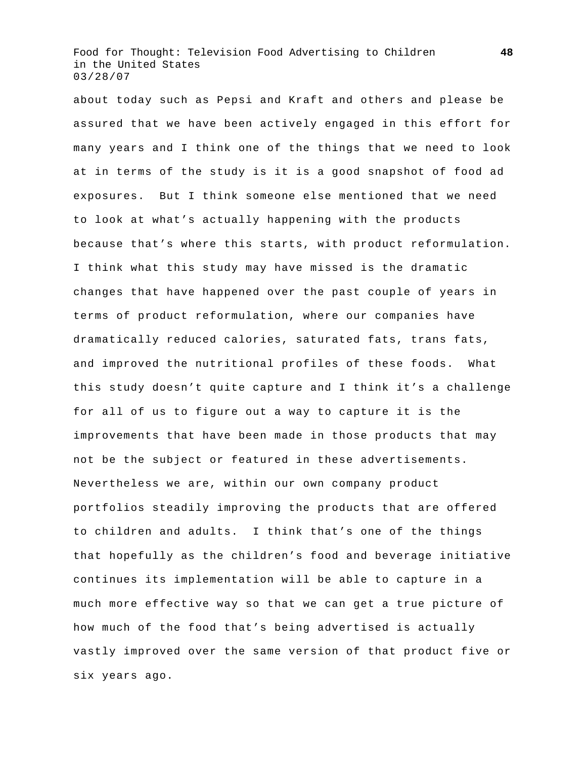about today such as Pepsi and Kraft and others and please be assured that we have been actively engaged in this effort for many years and I think one of the things that we need to look at in terms of the study is it is a good snapshot of food ad exposures. But I think someone else mentioned that we need to look at what's actually happening with the products because that's where this starts, with product reformulation. I think what this study may have missed is the dramatic changes that have happened over the past couple of years in terms of product reformulation, where our companies have dramatically reduced calories, saturated fats, trans fats, and improved the nutritional profiles of these foods. What this study doesn't quite capture and I think it's a challenge for all of us to figure out a way to capture it is the improvements that have been made in those products that may not be the subject or featured in these advertisements. Nevertheless we are, within our own company product portfolios steadily improving the products that are offered to children and adults. I think that's one of the things that hopefully as the children's food and beverage initiative continues its implementation will be able to capture in a much more effective way so that we can get a true picture of how much of the food that's being advertised is actually vastly improved over the same version of that product five or six years ago.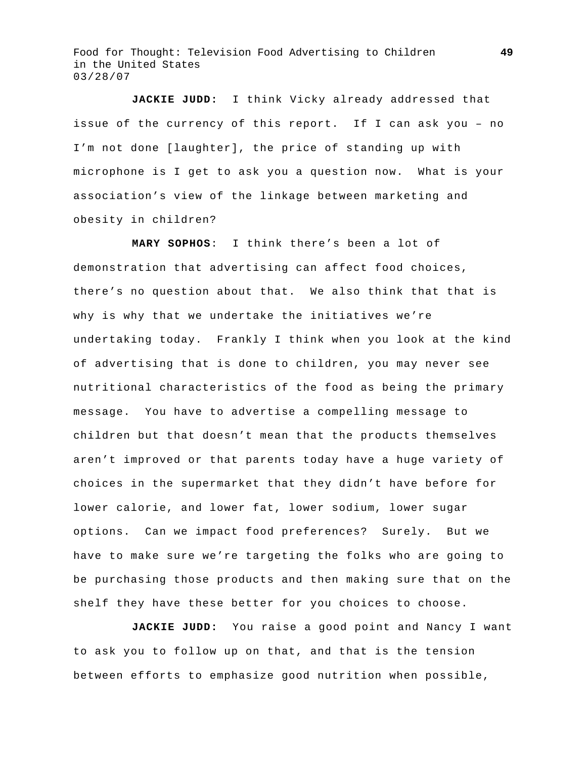**JACKIE JUDD:** I think Vicky already addressed that issue of the currency of this report. If I can ask you – no I'm not done [laughter], the price of standing up with microphone is I get to ask you a question now. What is your association's view of the linkage between marketing and obesity in children?

**MARY SOPHOS**: I think there's been a lot of demonstration that advertising can affect food choices, there's no question about that. We also think that that is why is why that we undertake the initiatives we're undertaking today. Frankly I think when you look at the kind of advertising that is done to children, you may never see nutritional characteristics of the food as being the primary message. You have to advertise a compelling message to children but that doesn't mean that the products themselves aren't improved or that parents today have a huge variety of choices in the supermarket that they didn't have before for lower calorie, and lower fat, lower sodium, lower sugar options. Can we impact food preferences? Surely. But we have to make sure we're targeting the folks who are going to be purchasing those products and then making sure that on the shelf they have these better for you choices to choose.

**JACKIE JUDD:** You raise a good point and Nancy I want to ask you to follow up on that, and that is the tension between efforts to emphasize good nutrition when possible,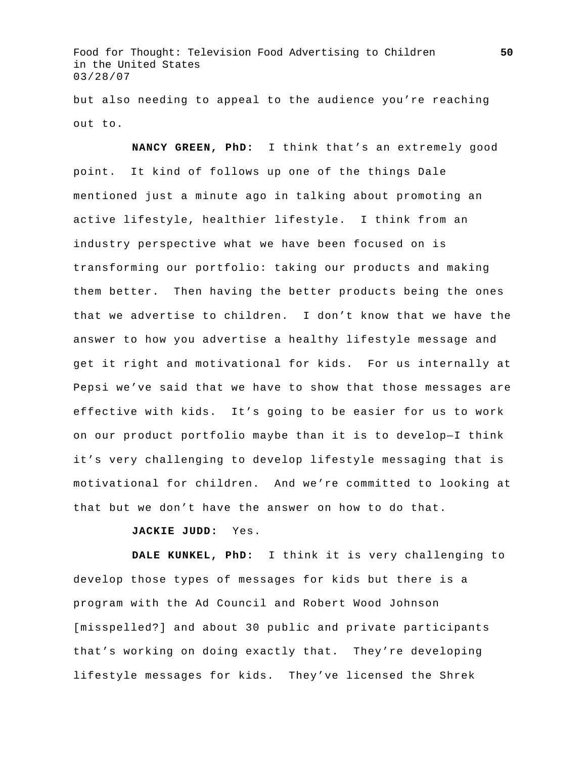but also needing to appeal to the audience you're reaching out to.

**NANCY GREEN, PhD:** I think that's an extremely good point. It kind of follows up one of the things Dale mentioned just a minute ago in talking about promoting an active lifestyle, healthier lifestyle. I think from an industry perspective what we have been focused on is transforming our portfolio: taking our products and making them better. Then having the better products being the ones that we advertise to children. I don't know that we have the answer to how you advertise a healthy lifestyle message and get it right and motivational for kids. For us internally at Pepsi we've said that we have to show that those messages are effective with kids. It's going to be easier for us to work on our product portfolio maybe than it is to develop—I think it's very challenging to develop lifestyle messaging that is motivational for children. And we're committed to looking at that but we don't have the answer on how to do that.

**JACKIE JUDD:** Yes.

**DALE KUNKEL, PhD:** I think it is very challenging to develop those types of messages for kids but there is a program with the Ad Council and Robert Wood Johnson [misspelled?] and about 30 public and private participants that's working on doing exactly that. They're developing lifestyle messages for kids. They've licensed the Shrek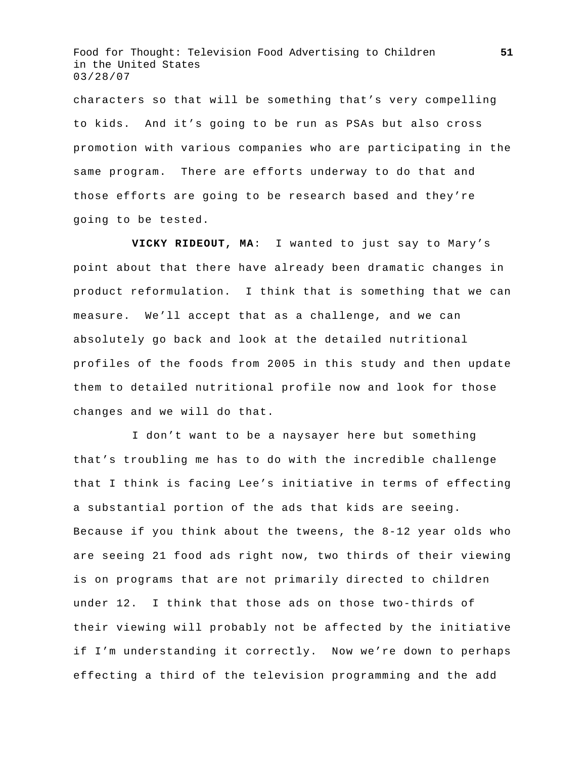characters so that will be something that's very compelling to kids. And it's going to be run as PSAs but also cross promotion with various companies who are participating in the same program. There are efforts underway to do that and those efforts are going to be research based and they're going to be tested.

**VICKY RIDEOUT, MA**: I wanted to just say to Mary's point about that there have already been dramatic changes in product reformulation. I think that is something that we can measure. We'll accept that as a challenge, and we can absolutely go back and look at the detailed nutritional profiles of the foods from 2005 in this study and then update them to detailed nutritional profile now and look for those changes and we will do that.

 I don't want to be a naysayer here but something that's troubling me has to do with the incredible challenge that I think is facing Lee's initiative in terms of effecting a substantial portion of the ads that kids are seeing. Because if you think about the tweens, the 8-12 year olds who are seeing 21 food ads right now, two thirds of their viewing is on programs that are not primarily directed to children under 12. I think that those ads on those two-thirds of their viewing will probably not be affected by the initiative if I'm understanding it correctly. Now we're down to perhaps effecting a third of the television programming and the add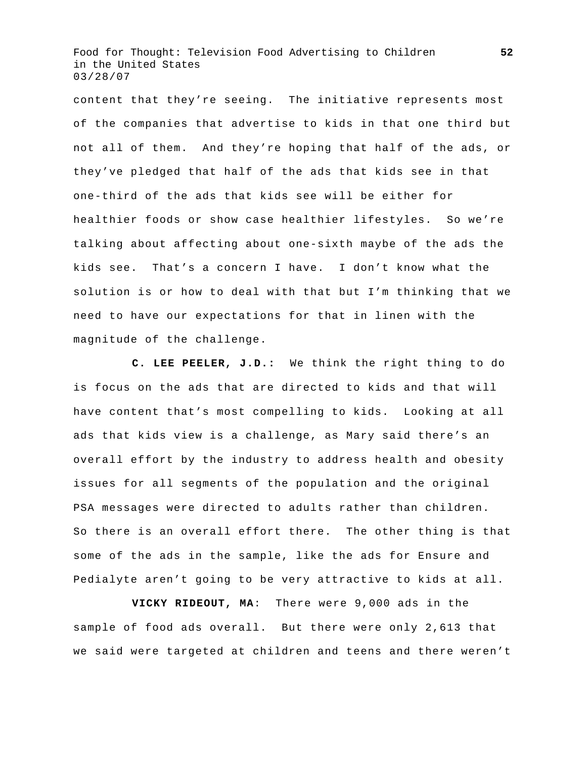content that they're seeing. The initiative represents most of the companies that advertise to kids in that one third but not all of them. And they're hoping that half of the ads, or they've pledged that half of the ads that kids see in that one-third of the ads that kids see will be either for healthier foods or show case healthier lifestyles. So we're talking about affecting about one-sixth maybe of the ads the kids see. That's a concern I have. I don't know what the solution is or how to deal with that but I'm thinking that we need to have our expectations for that in linen with the magnitude of the challenge.

**C. LEE PEELER, J.D.:** We think the right thing to do is focus on the ads that are directed to kids and that will have content that's most compelling to kids. Looking at all ads that kids view is a challenge, as Mary said there's an overall effort by the industry to address health and obesity issues for all segments of the population and the original PSA messages were directed to adults rather than children. So there is an overall effort there. The other thing is that some of the ads in the sample, like the ads for Ensure and Pedialyte aren't going to be very attractive to kids at all.

**VICKY RIDEOUT, MA**: There were 9,000 ads in the sample of food ads overall. But there were only 2,613 that we said were targeted at children and teens and there weren't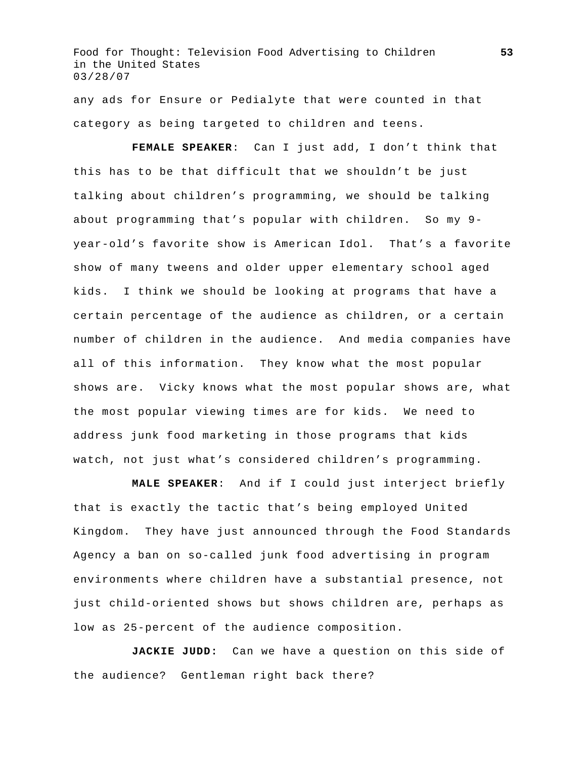any ads for Ensure or Pedialyte that were counted in that category as being targeted to children and teens.

**FEMALE SPEAKER**: Can I just add, I don't think that this has to be that difficult that we shouldn't be just talking about children's programming, we should be talking about programming that's popular with children. So my 9 year-old's favorite show is American Idol. That's a favorite show of many tweens and older upper elementary school aged kids. I think we should be looking at programs that have a certain percentage of the audience as children, or a certain number of children in the audience. And media companies have all of this information. They know what the most popular shows are. Vicky knows what the most popular shows are, what the most popular viewing times are for kids. We need to address junk food marketing in those programs that kids watch, not just what's considered children's programming.

**MALE SPEAKER**: And if I could just interject briefly that is exactly the tactic that's being employed United Kingdom. They have just announced through the Food Standards Agency a ban on so-called junk food advertising in program environments where children have a substantial presence, not just child-oriented shows but shows children are, perhaps as low as 25-percent of the audience composition.

**JACKIE JUDD:** Can we have a question on this side of the audience? Gentleman right back there?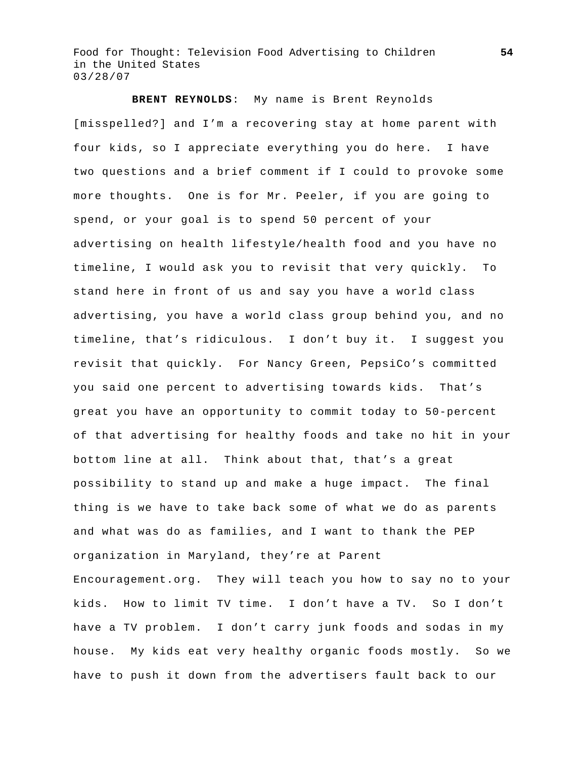**BRENT REYNOLDS**: My name is Brent Reynolds [misspelled?] and I'm a recovering stay at home parent with four kids, so I appreciate everything you do here. I have two questions and a brief comment if I could to provoke some more thoughts. One is for Mr. Peeler, if you are going to spend, or your goal is to spend 50 percent of your advertising on health lifestyle/health food and you have no timeline, I would ask you to revisit that very quickly. To stand here in front of us and say you have a world class advertising, you have a world class group behind you, and no timeline, that's ridiculous. I don't buy it. I suggest you revisit that quickly. For Nancy Green, PepsiCo's committed you said one percent to advertising towards kids. That's great you have an opportunity to commit today to 50-percent of that advertising for healthy foods and take no hit in your bottom line at all. Think about that, that's a great possibility to stand up and make a huge impact. The final thing is we have to take back some of what we do as parents and what was do as families, and I want to thank the PEP organization in Maryland, they're at Parent Encouragement.org. They will teach you how to say no to your kids. How to limit TV time. I don't have a TV. So I don't have a TV problem. I don't carry junk foods and sodas in my house. My kids eat very healthy organic foods mostly. So we have to push it down from the advertisers fault back to our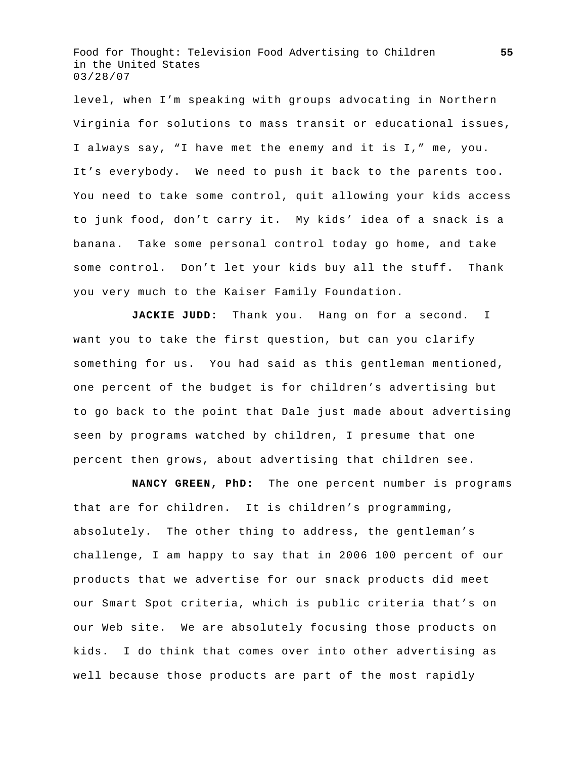level, when I'm speaking with groups advocating in Northern Virginia for solutions to mass transit or educational issues, I always say, "I have met the enemy and it is I," me, you. It's everybody. We need to push it back to the parents too. You need to take some control, quit allowing your kids access to junk food, don't carry it. My kids' idea of a snack is a banana. Take some personal control today go home, and take some control. Don't let your kids buy all the stuff. Thank you very much to the Kaiser Family Foundation.

**JACKIE JUDD:** Thank you. Hang on for a second. I want you to take the first question, but can you clarify something for us. You had said as this gentleman mentioned, one percent of the budget is for children's advertising but to go back to the point that Dale just made about advertising seen by programs watched by children, I presume that one percent then grows, about advertising that children see.

**NANCY GREEN, PhD:** The one percent number is programs that are for children. It is children's programming, absolutely. The other thing to address, the gentleman's challenge, I am happy to say that in 2006 100 percent of our products that we advertise for our snack products did meet our Smart Spot criteria, which is public criteria that's on our Web site. We are absolutely focusing those products on kids. I do think that comes over into other advertising as well because those products are part of the most rapidly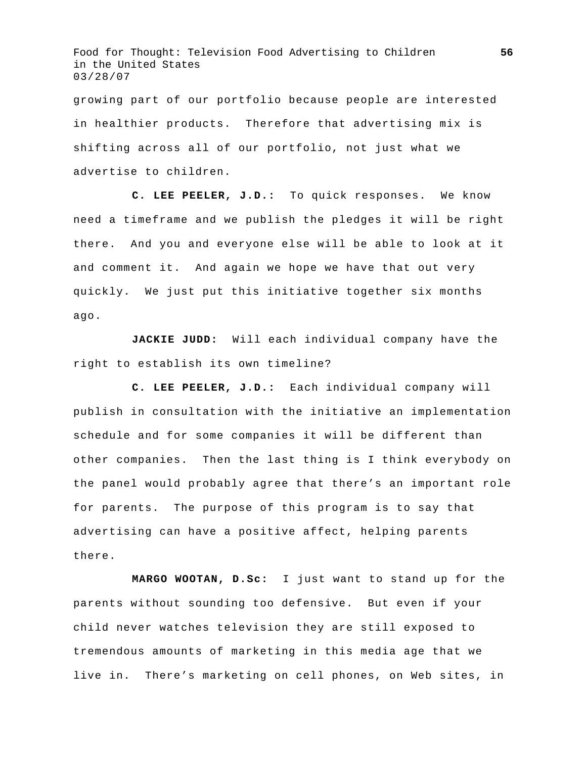growing part of our portfolio because people are interested in healthier products. Therefore that advertising mix is shifting across all of our portfolio, not just what we advertise to children.

**C. LEE PEELER, J.D.:** To quick responses. We know need a timeframe and we publish the pledges it will be right there. And you and everyone else will be able to look at it and comment it. And again we hope we have that out very quickly. We just put this initiative together six months ago.

**JACKIE JUDD:** Will each individual company have the right to establish its own timeline?

**C. LEE PEELER, J.D.:** Each individual company will publish in consultation with the initiative an implementation schedule and for some companies it will be different than other companies. Then the last thing is I think everybody on the panel would probably agree that there's an important role for parents. The purpose of this program is to say that advertising can have a positive affect, helping parents there.

**MARGO WOOTAN, D.Sc:** I just want to stand up for the parents without sounding too defensive. But even if your child never watches television they are still exposed to tremendous amounts of marketing in this media age that we live in. There's marketing on cell phones, on Web sites, in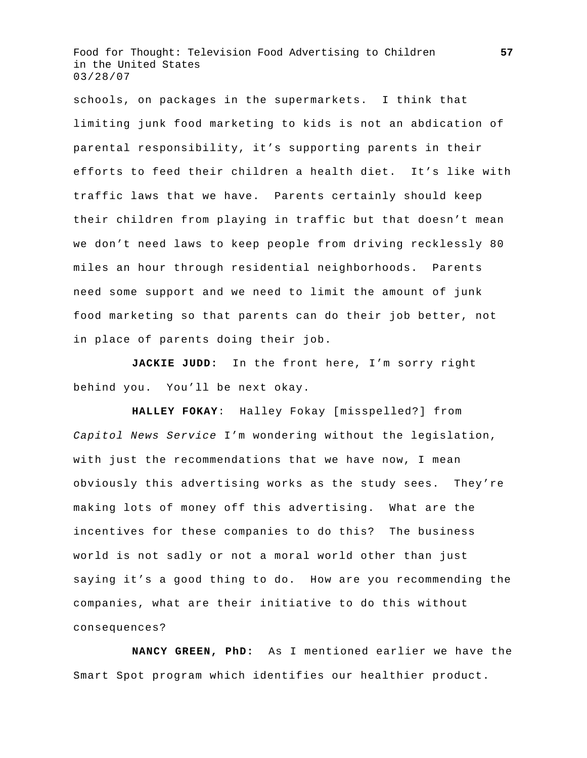schools, on packages in the supermarkets. I think that limiting junk food marketing to kids is not an abdication of parental responsibility, it's supporting parents in their efforts to feed their children a health diet. It's like with traffic laws that we have. Parents certainly should keep their children from playing in traffic but that doesn't mean we don't need laws to keep people from driving recklessly 80 miles an hour through residential neighborhoods. Parents need some support and we need to limit the amount of junk food marketing so that parents can do their job better, not in place of parents doing their job.

**JACKIE JUDD:** In the front here, I'm sorry right behind you. You'll be next okay.

**HALLEY FOKAY**: Halley Fokay [misspelled?] from *Capitol News Service* I'm wondering without the legislation, with just the recommendations that we have now, I mean obviously this advertising works as the study sees. They're making lots of money off this advertising. What are the incentives for these companies to do this? The business world is not sadly or not a moral world other than just saying it's a good thing to do. How are you recommending the companies, what are their initiative to do this without consequences?

**NANCY GREEN, PhD:** As I mentioned earlier we have the Smart Spot program which identifies our healthier product.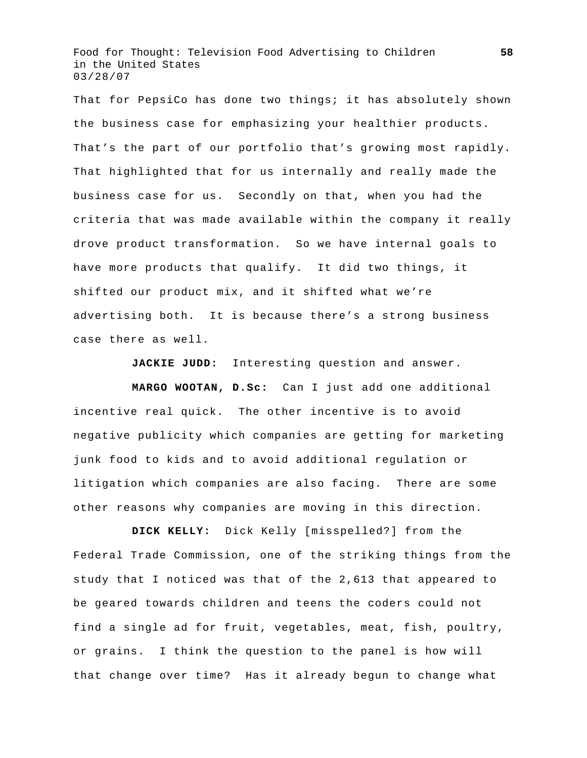That for PepsiCo has done two things; it has absolutely shown the business case for emphasizing your healthier products. That's the part of our portfolio that's growing most rapidly. That highlighted that for us internally and really made the business case for us. Secondly on that, when you had the criteria that was made available within the company it really drove product transformation. So we have internal goals to have more products that qualify. It did two things, it shifted our product mix, and it shifted what we're advertising both. It is because there's a strong business case there as well.

**JACKIE JUDD:** Interesting question and answer.

**MARGO WOOTAN, D.Sc:** Can I just add one additional incentive real quick. The other incentive is to avoid negative publicity which companies are getting for marketing junk food to kids and to avoid additional regulation or litigation which companies are also facing. There are some other reasons why companies are moving in this direction.

**DICK KELLY:** Dick Kelly [misspelled?] from the Federal Trade Commission, one of the striking things from the study that I noticed was that of the 2,613 that appeared to be geared towards children and teens the coders could not find a single ad for fruit, vegetables, meat, fish, poultry, or grains. I think the question to the panel is how will that change over time? Has it already begun to change what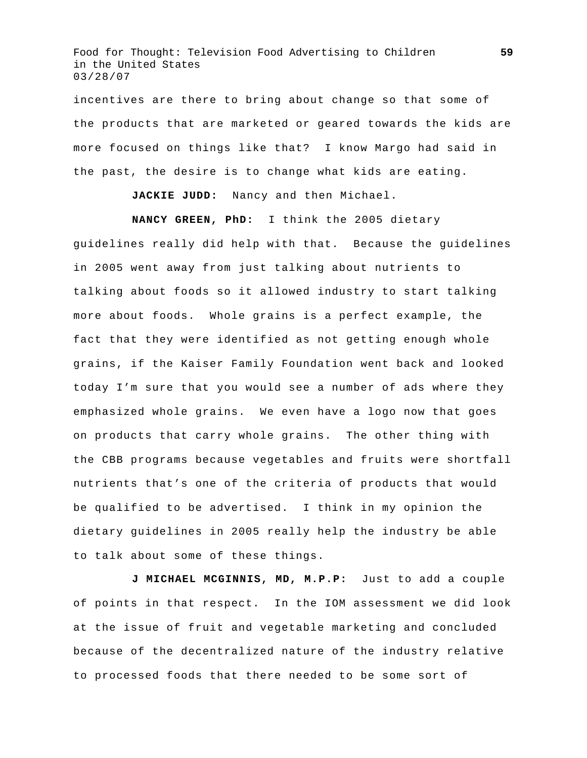incentives are there to bring about change so that some of the products that are marketed or geared towards the kids are more focused on things like that? I know Margo had said in the past, the desire is to change what kids are eating.

**JACKIE JUDD:** Nancy and then Michael.

**NANCY GREEN, PhD:** I think the 2005 dietary

guidelines really did help with that. Because the guidelines in 2005 went away from just talking about nutrients to talking about foods so it allowed industry to start talking more about foods. Whole grains is a perfect example, the fact that they were identified as not getting enough whole grains, if the Kaiser Family Foundation went back and looked today I'm sure that you would see a number of ads where they emphasized whole grains. We even have a logo now that goes on products that carry whole grains. The other thing with the CBB programs because vegetables and fruits were shortfall nutrients that's one of the criteria of products that would be qualified to be advertised. I think in my opinion the dietary guidelines in 2005 really help the industry be able to talk about some of these things.

**J MICHAEL MCGINNIS, MD, M.P.P:** Just to add a couple of points in that respect. In the IOM assessment we did look at the issue of fruit and vegetable marketing and concluded because of the decentralized nature of the industry relative to processed foods that there needed to be some sort of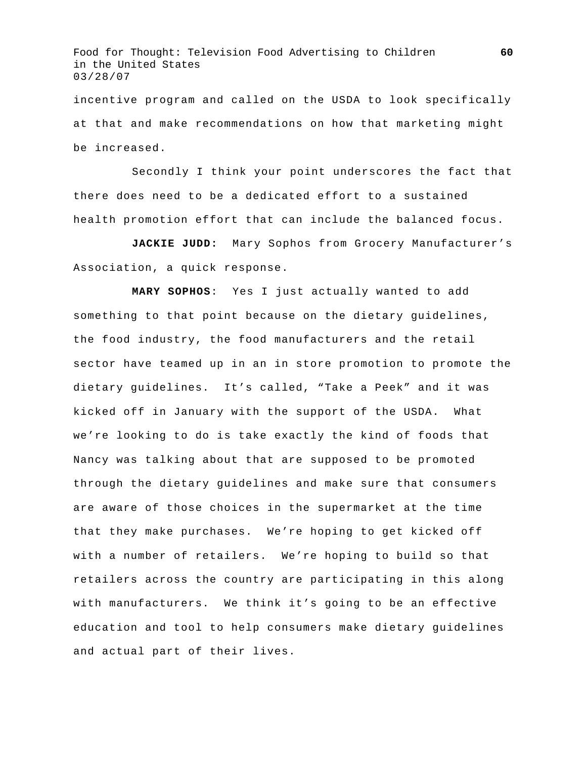incentive program and called on the USDA to look specifically at that and make recommendations on how that marketing might be increased.

 Secondly I think your point underscores the fact that there does need to be a dedicated effort to a sustained health promotion effort that can include the balanced focus.

**JACKIE JUDD:** Mary Sophos from Grocery Manufacturer's Association, a quick response.

**MARY SOPHOS**: Yes I just actually wanted to add something to that point because on the dietary guidelines, the food industry, the food manufacturers and the retail sector have teamed up in an in store promotion to promote the dietary guidelines. It's called, "Take a Peek" and it was kicked off in January with the support of the USDA. What we're looking to do is take exactly the kind of foods that Nancy was talking about that are supposed to be promoted through the dietary guidelines and make sure that consumers are aware of those choices in the supermarket at the time that they make purchases. We're hoping to get kicked off with a number of retailers. We're hoping to build so that retailers across the country are participating in this along with manufacturers. We think it's going to be an effective education and tool to help consumers make dietary guidelines and actual part of their lives.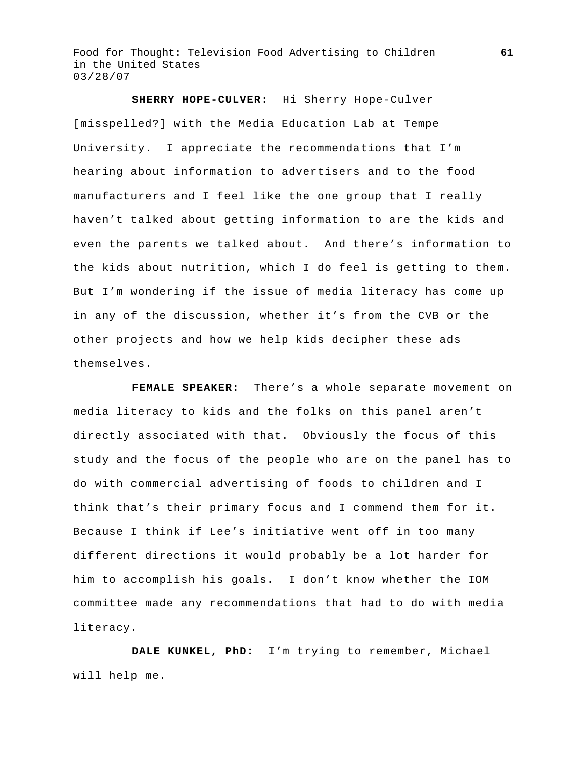**SHERRY HOPE-CULVER**: Hi Sherry Hope-Culver [misspelled?] with the Media Education Lab at Tempe University. I appreciate the recommendations that I'm hearing about information to advertisers and to the food manufacturers and I feel like the one group that I really haven't talked about getting information to are the kids and even the parents we talked about. And there's information to the kids about nutrition, which I do feel is getting to them. But I'm wondering if the issue of media literacy has come up in any of the discussion, whether it's from the CVB or the other projects and how we help kids decipher these ads themselves.

**FEMALE SPEAKER**: There's a whole separate movement on media literacy to kids and the folks on this panel aren't directly associated with that. Obviously the focus of this study and the focus of the people who are on the panel has to do with commercial advertising of foods to children and I think that's their primary focus and I commend them for it. Because I think if Lee's initiative went off in too many different directions it would probably be a lot harder for him to accomplish his goals. I don't know whether the IOM committee made any recommendations that had to do with media literacy.

**DALE KUNKEL, PhD:** I'm trying to remember, Michael will help me.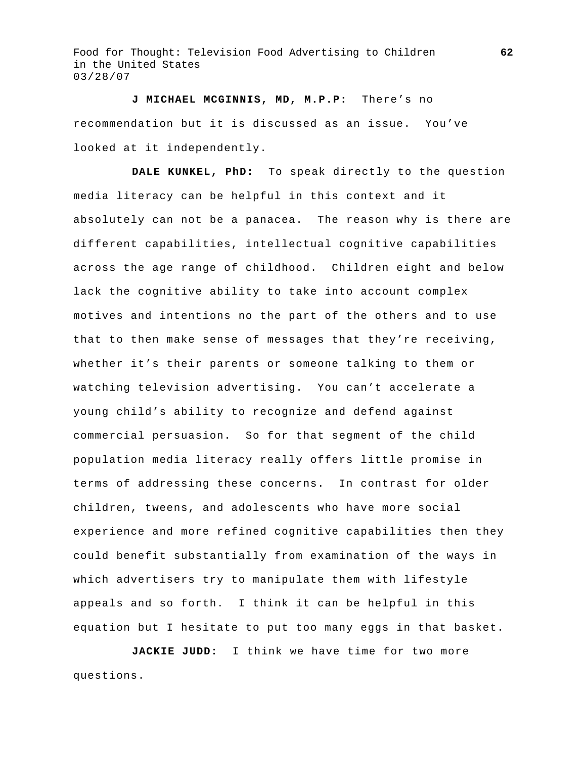**J MICHAEL MCGINNIS, MD, M.P.P:** There's no recommendation but it is discussed as an issue. You've looked at it independently.

 **DALE KUNKEL, PhD:** To speak directly to the question media literacy can be helpful in this context and it absolutely can not be a panacea. The reason why is there are different capabilities, intellectual cognitive capabilities across the age range of childhood. Children eight and below lack the cognitive ability to take into account complex motives and intentions no the part of the others and to use that to then make sense of messages that they're receiving, whether it's their parents or someone talking to them or watching television advertising. You can't accelerate a young child's ability to recognize and defend against commercial persuasion. So for that segment of the child population media literacy really offers little promise in terms of addressing these concerns. In contrast for older children, tweens, and adolescents who have more social experience and more refined cognitive capabilities then they could benefit substantially from examination of the ways in which advertisers try to manipulate them with lifestyle appeals and so forth. I think it can be helpful in this equation but I hesitate to put too many eggs in that basket.

**JACKIE JUDD:** I think we have time for two more questions.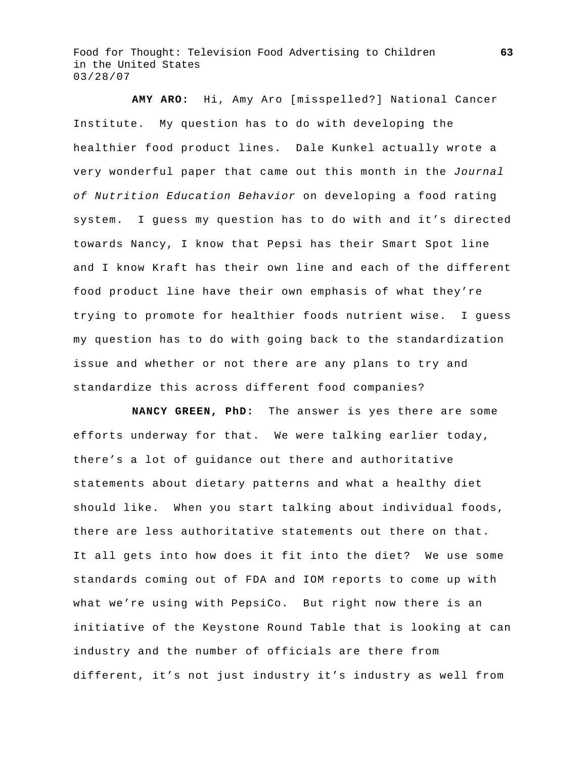**AMY ARO:** Hi, Amy Aro [misspelled?] National Cancer Institute. My question has to do with developing the healthier food product lines. Dale Kunkel actually wrote a very wonderful paper that came out this month in the *Journal of Nutrition Education Behavior* on developing a food rating system. I guess my question has to do with and it's directed towards Nancy, I know that Pepsi has their Smart Spot line and I know Kraft has their own line and each of the different food product line have their own emphasis of what they're trying to promote for healthier foods nutrient wise. I guess my question has to do with going back to the standardization issue and whether or not there are any plans to try and standardize this across different food companies?

**NANCY GREEN, PhD:** The answer is yes there are some efforts underway for that. We were talking earlier today, there's a lot of guidance out there and authoritative statements about dietary patterns and what a healthy diet should like. When you start talking about individual foods, there are less authoritative statements out there on that. It all gets into how does it fit into the diet? We use some standards coming out of FDA and IOM reports to come up with what we're using with PepsiCo. But right now there is an initiative of the Keystone Round Table that is looking at can industry and the number of officials are there from different, it's not just industry it's industry as well from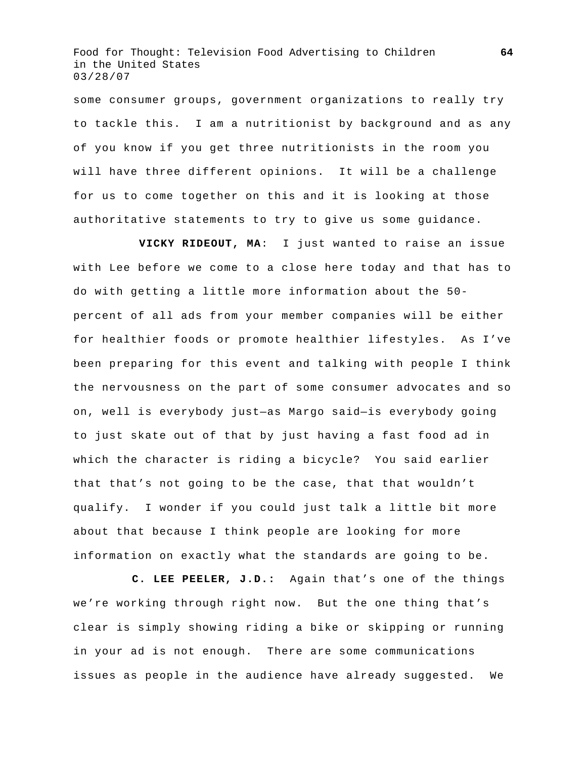some consumer groups, government organizations to really try to tackle this. I am a nutritionist by background and as any of you know if you get three nutritionists in the room you will have three different opinions. It will be a challenge for us to come together on this and it is looking at those authoritative statements to try to give us some guidance.

 **VICKY RIDEOUT, MA**: I just wanted to raise an issue with Lee before we come to a close here today and that has to do with getting a little more information about the 50 percent of all ads from your member companies will be either for healthier foods or promote healthier lifestyles. As I've been preparing for this event and talking with people I think the nervousness on the part of some consumer advocates and so on, well is everybody just—as Margo said—is everybody going to just skate out of that by just having a fast food ad in which the character is riding a bicycle? You said earlier that that's not going to be the case, that that wouldn't qualify. I wonder if you could just talk a little bit more about that because I think people are looking for more information on exactly what the standards are going to be.

**C. LEE PEELER, J.D.:** Again that's one of the things we're working through right now. But the one thing that's clear is simply showing riding a bike or skipping or running in your ad is not enough. There are some communications issues as people in the audience have already suggested. We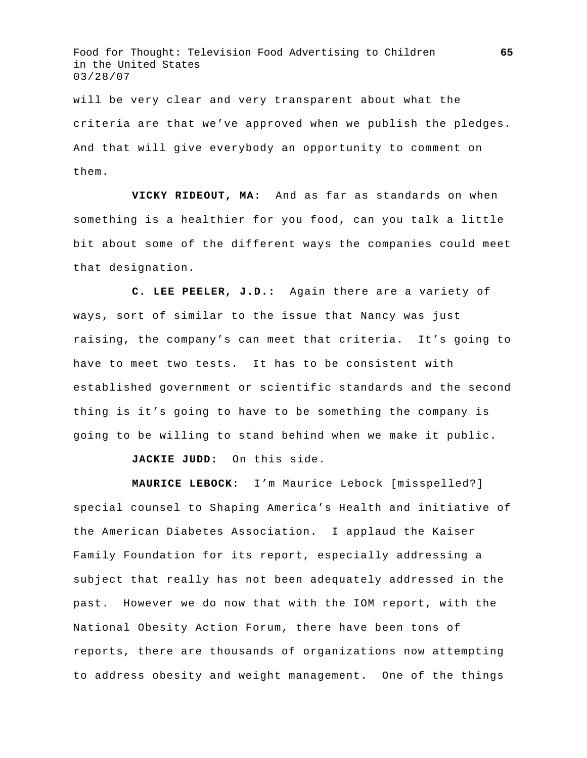will be very clear and very transparent about what the criteria are that we've approved when we publish the pledges. And that will give everybody an opportunity to comment on them.

**VICKY RIDEOUT, MA**: And as far as standards on when something is a healthier for you food, can you talk a little bit about some of the different ways the companies could meet that designation.

**C. LEE PEELER, J.D.:** Again there are a variety of ways, sort of similar to the issue that Nancy was just raising, the company's can meet that criteria. It's going to have to meet two tests. It has to be consistent with established government or scientific standards and the second thing is it's going to have to be something the company is going to be willing to stand behind when we make it public.

**JACKIE JUDD:** On this side.

**MAURICE LEBOCK**: I'm Maurice Lebock [misspelled?] special counsel to Shaping America's Health and initiative of the American Diabetes Association. I applaud the Kaiser Family Foundation for its report, especially addressing a subject that really has not been adequately addressed in the past. However we do now that with the IOM report, with the National Obesity Action Forum, there have been tons of reports, there are thousands of organizations now attempting to address obesity and weight management. One of the things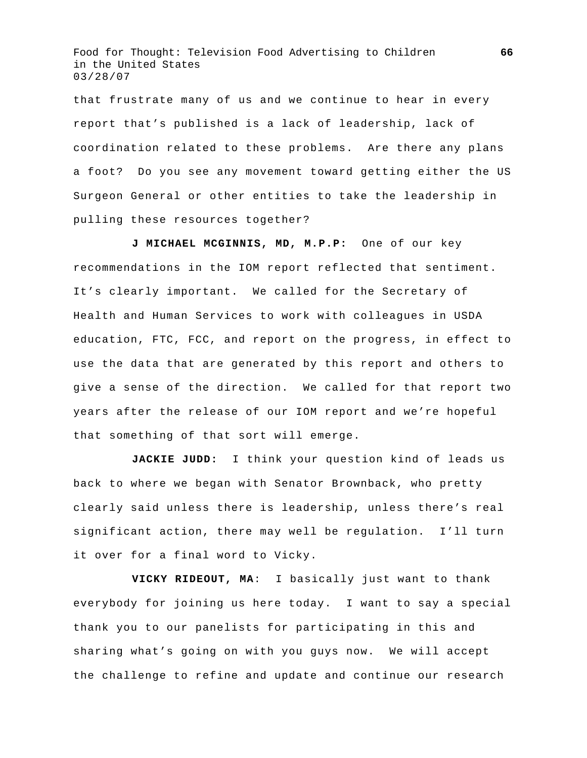that frustrate many of us and we continue to hear in every report that's published is a lack of leadership, lack of coordination related to these problems. Are there any plans a foot? Do you see any movement toward getting either the US Surgeon General or other entities to take the leadership in pulling these resources together?

**J MICHAEL MCGINNIS, MD, M.P.P:** One of our key recommendations in the IOM report reflected that sentiment. It's clearly important. We called for the Secretary of Health and Human Services to work with colleagues in USDA education, FTC, FCC, and report on the progress, in effect to use the data that are generated by this report and others to give a sense of the direction. We called for that report two years after the release of our IOM report and we're hopeful that something of that sort will emerge.

**JACKIE JUDD:** I think your question kind of leads us back to where we began with Senator Brownback, who pretty clearly said unless there is leadership, unless there's real significant action, there may well be regulation. I'll turn it over for a final word to Vicky.

**VICKY RIDEOUT, MA**: I basically just want to thank everybody for joining us here today. I want to say a special thank you to our panelists for participating in this and sharing what's going on with you guys now. We will accept the challenge to refine and update and continue our research